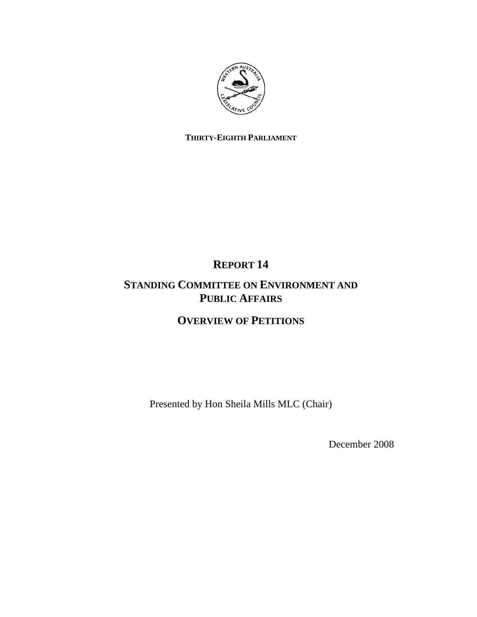

## **THIRTY-EIGHTH PARLIAMENT**

# **REPORT 14**

## **STANDING COMMITTEE ON ENVIRONMENT AND PUBLIC AFFAIRS**

## **OVERVIEW OF PETITIONS**

Presented by Hon Sheila Mills MLC (Chair)

December 2008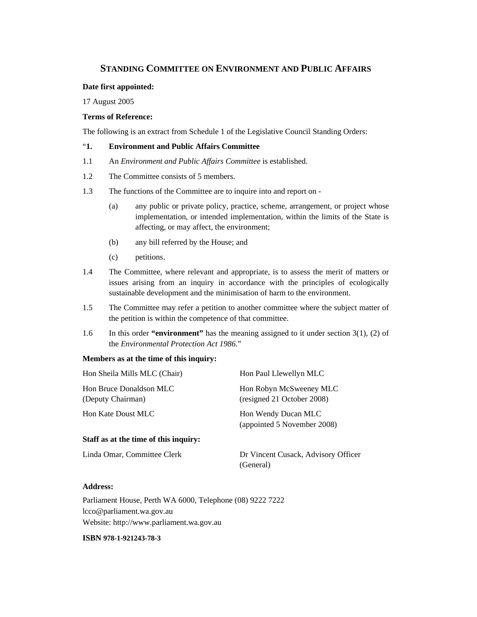## **STANDING COMMITTEE ON ENVIRONMENT AND PUBLIC AFFAIRS**

## **Date first appointed:**

17 August 2005

## **Terms of Reference:**

The following is an extract from Schedule 1 of the Legislative Council Standing Orders:

## "**1. Environment and Public Affairs Committee**

- 1.1 An *Environment and Public Affairs Committee* is established.
- 1.2 The Committee consists of 5 members.
- 1.3 The functions of the Committee are to inquire into and report on
	- (a) any public or private policy, practice, scheme, arrangement, or project whose implementation, or intended implementation, within the limits of the State is affecting, or may affect, the environment;
	- (b) any bill referred by the House; and
	- (c) petitions.
- 1.4 The Committee, where relevant and appropriate, is to assess the merit of matters or issues arising from an inquiry in accordance with the principles of ecologically sustainable development and the minimisation of harm to the environment.
- 1.5 The Committee may refer a petition to another committee where the subject matter of the petition is within the competence of that committee.
- 1.6 In this order **"environment"** has the meaning assigned to it under section 3(1), (2) of the *Environmental Protection Act 1986*."

### **Members as at the time of this inquiry:**

| Hon Sheila Mills MLC (Chair)                 | Hon Paul Llewellyn MLC                                |
|----------------------------------------------|-------------------------------------------------------|
| Hon Bruce Donaldson MLC<br>(Deputy Chairman) | Hon Robyn McSweeney MLC<br>(resigned 21 October 2008) |
| Hon Kate Doust MLC                           | Hon Wendy Ducan MLC<br>(appointed 5 November 2008)    |
| Staff as at the time of this inquiry:        |                                                       |
| Linda Omar, Committee Clerk                  | Dr Vincent Cusack, Advisory Officer                   |

(General)

### **Address:**

Parliament House, Perth WA 6000, Telephone (08) 9222 7222 lcco@parliament.wa.gov.au Website: http://www.parliament.wa.gov.au

**ISBN 978-1-921243-78-3**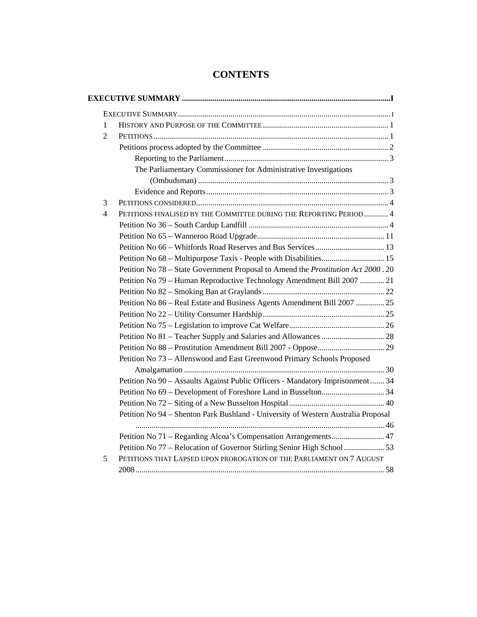| 1              |                                                                                   |  |
|----------------|-----------------------------------------------------------------------------------|--|
| $\overline{2}$ |                                                                                   |  |
|                |                                                                                   |  |
|                |                                                                                   |  |
|                | The Parliamentary Commissioner for Administrative Investigations                  |  |
|                |                                                                                   |  |
|                |                                                                                   |  |
| 3              |                                                                                   |  |
| $\overline{4}$ | PETITIONS FINALISED BY THE COMMITTEE DURING THE REPORTING PERIOD 4                |  |
|                |                                                                                   |  |
|                |                                                                                   |  |
|                |                                                                                   |  |
|                | Petition No 68 - Multipurpose Taxis - People with Disabilities 15                 |  |
|                | Petition No 78 - State Government Proposal to Amend the Prostitution Act 2000.20  |  |
|                | Petition No 79 - Human Reproductive Technology Amendment Bill 2007  21            |  |
|                |                                                                                   |  |
|                | Petition No 86 - Real Estate and Business Agents Amendment Bill 2007  25          |  |
|                |                                                                                   |  |
|                |                                                                                   |  |
|                |                                                                                   |  |
|                |                                                                                   |  |
|                | Petition No 73 - Allenswood and East Greenwood Primary Schools Proposed           |  |
|                |                                                                                   |  |
|                | Petition No 90 - Assaults Against Public Officers - Mandatory Imprisonment 34     |  |
|                |                                                                                   |  |
|                |                                                                                   |  |
|                | Petition No 94 - Shenton Park Bushland - University of Western Australia Proposal |  |
|                |                                                                                   |  |
|                | Petition No 71 - Regarding Alcoa's Compensation Arrangements 47                   |  |
|                | Petition No 77 – Relocation of Governor Stirling Senior High School  53           |  |
| 5              | PETITIONS THAT LAPSED UPON PROROGATION OF THE PARLIAMENT ON 7 AUGUST              |  |
|                |                                                                                   |  |

## **CONTENTS**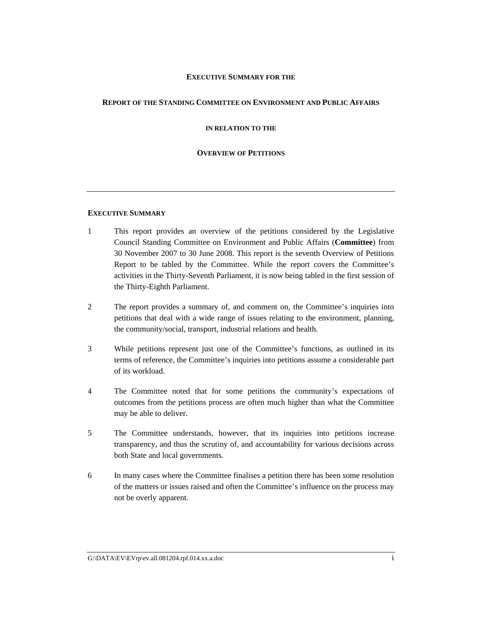## **EXECUTIVE SUMMARY FOR THE**

## **REPORT OF THE STANDING COMMITTEE ON ENVIRONMENT AND PUBLIC AFFAIRS**

**IN RELATION TO THE**

## **OVERVIEW OF PETITIONS**

## **EXECUTIVE SUMMARY**

- 1 This report provides an overview of the petitions considered by the Legislative Council Standing Committee on Environment and Public Affairs (**Committee**) from 30 November 2007 to 30 June 2008. This report is the seventh Overview of Petitions Report to be tabled by the Committee. While the report covers the Committee's activities in the Thirty-Seventh Parliament, it is now being tabled in the first session of the Thirty-Eighth Parliament.
- 2 The report provides a summary of, and comment on, the Committee's inquiries into petitions that deal with a wide range of issues relating to the environment, planning, the community/social, transport, industrial relations and health.
- 3 While petitions represent just one of the Committee's functions, as outlined in its terms of reference, the Committee's inquiries into petitions assume a considerable part of its workload.
- 4 The Committee noted that for some petitions the community's expectations of outcomes from the petitions process are often much higher than what the Committee may be able to deliver.
- 5 The Committee understands, however, that its inquiries into petitions increase transparency, and thus the scrutiny of, and accountability for various decisions across both State and local governments.
- 6 In many cases where the Committee finalises a petition there has been some resolution of the matters or issues raised and often the Committee's influence on the process may not be overly apparent.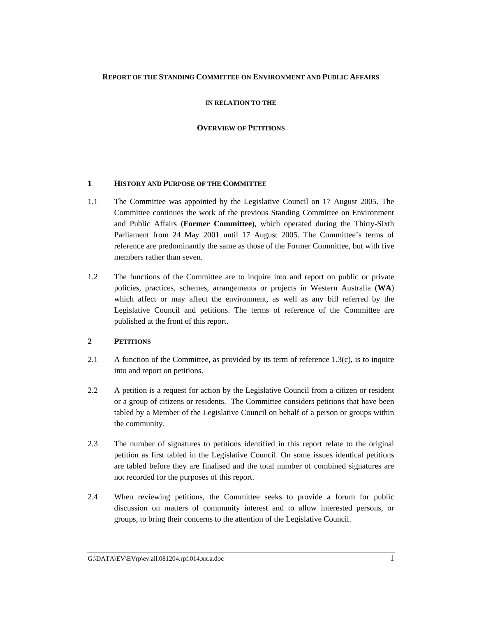## **REPORT OF THE STANDING COMMITTEE ON ENVIRONMENT AND PUBLIC AFFAIRS**

## **IN RELATION TO THE**

## **OVERVIEW OF PETITIONS**

## **1 HISTORY AND PURPOSE OF THE COMMITTEE**

- 1.1 The Committee was appointed by the Legislative Council on 17 August 2005. The Committee continues the work of the previous Standing Committee on Environment and Public Affairs (**Former Committee**), which operated during the Thirty-Sixth Parliament from 24 May 2001 until 17 August 2005. The Committee's terms of reference are predominantly the same as those of the Former Committee, but with five members rather than seven.
- 1.2 The functions of the Committee are to inquire into and report on public or private policies, practices, schemes, arrangements or projects in Western Australia (**WA**) which affect or may affect the environment, as well as any bill referred by the Legislative Council and petitions. The terms of reference of the Committee are published at the front of this report.

## **2 PETITIONS**

- 2.1 A function of the Committee, as provided by its term of reference 1.3(c), is to inquire into and report on petitions.
- 2.2 A petition is a request for action by the Legislative Council from a citizen or resident or a group of citizens or residents. The Committee considers petitions that have been tabled by a Member of the Legislative Council on behalf of a person or groups within the community.
- 2.3 The number of signatures to petitions identified in this report relate to the original petition as first tabled in the Legislative Council. On some issues identical petitions are tabled before they are finalised and the total number of combined signatures are not recorded for the purposes of this report.
- 2.4 When reviewing petitions, the Committee seeks to provide a forum for public discussion on matters of community interest and to allow interested persons, or groups, to bring their concerns to the attention of the Legislative Council.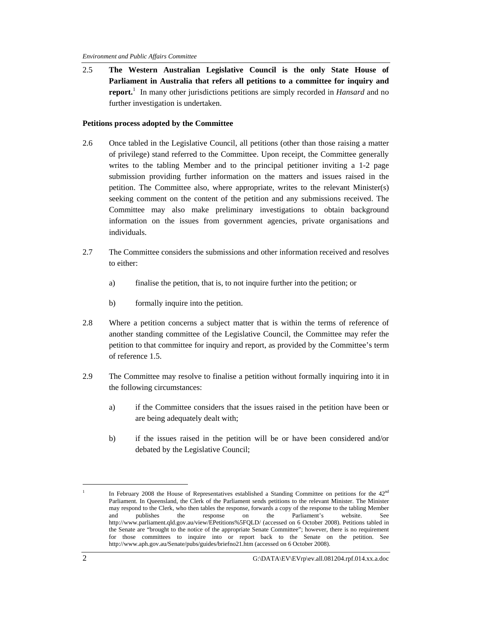2.5 **The Western Australian Legislative Council is the only State House of Parliament in Australia that refers all petitions to a committee for inquiry and report.**<sup>1</sup> In many other jurisdictions petitions are simply recorded in *Hansard* and no further investigation is undertaken.

## **Petitions process adopted by the Committee**

- 2.6 Once tabled in the Legislative Council, all petitions (other than those raising a matter of privilege) stand referred to the Committee. Upon receipt, the Committee generally writes to the tabling Member and to the principal petitioner inviting a 1-2 page submission providing further information on the matters and issues raised in the petition. The Committee also, where appropriate, writes to the relevant Minister(s) seeking comment on the content of the petition and any submissions received. The Committee may also make preliminary investigations to obtain background information on the issues from government agencies, private organisations and individuals.
- 2.7 The Committee considers the submissions and other information received and resolves to either:
	- a) finalise the petition, that is, to not inquire further into the petition; or
	- b) formally inquire into the petition.
- 2.8 Where a petition concerns a subject matter that is within the terms of reference of another standing committee of the Legislative Council, the Committee may refer the petition to that committee for inquiry and report, as provided by the Committee's term of reference 1.5.
- 2.9 The Committee may resolve to finalise a petition without formally inquiring into it in the following circumstances:
	- a) if the Committee considers that the issues raised in the petition have been or are being adequately dealt with;
	- b) if the issues raised in the petition will be or have been considered and/or debated by the Legislative Council;

In February 2008 the House of Representatives established a Standing Committee on petitions for the  $42<sup>nd</sup>$ Parliament. In Queensland, the Clerk of the Parliament sends petitions to the relevant Minister. The Minister may respond to the Clerk, who then tables the response, forwards a copy of the response to the tabling Member and publishes the response on the Parliament's website. See http://www.parliament.qld.gov.au/view/EPetitions%5FQLD/ (accessed on 6 October 2008). Petitions tabled in the Senate are "brought to the notice of the appropriate Senate Committee"; however, there is no requirement for those committees to inquire into or report back to the Senate on the petition. See http://www.aph.gov.au/Senate/pubs/guides/briefno21.htm (accessed on 6 October 2008).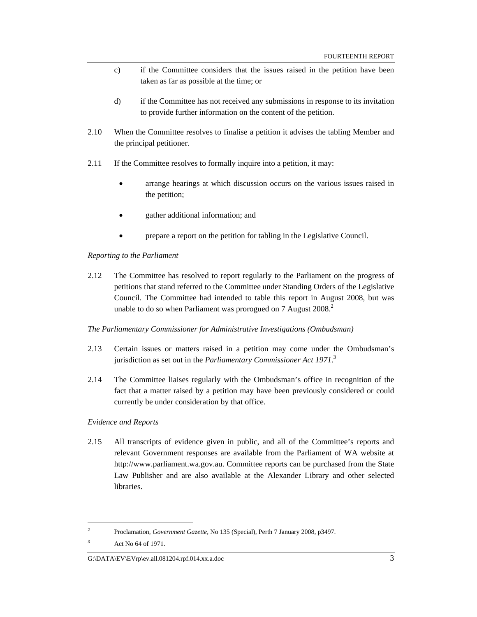- c) if the Committee considers that the issues raised in the petition have been taken as far as possible at the time; or
- d) if the Committee has not received any submissions in response to its invitation to provide further information on the content of the petition.
- 2.10 When the Committee resolves to finalise a petition it advises the tabling Member and the principal petitioner.
- 2.11 If the Committee resolves to formally inquire into a petition, it may:
	- arrange hearings at which discussion occurs on the various issues raised in the petition;
	- gather additional information; and
	- prepare a report on the petition for tabling in the Legislative Council.

#### *Reporting to the Parliament*

2.12 The Committee has resolved to report regularly to the Parliament on the progress of petitions that stand referred to the Committee under Standing Orders of the Legislative Council. The Committee had intended to table this report in August 2008, but was unable to do so when Parliament was prorogued on  $7$  August  $2008$ <sup>2</sup>

### *The Parliamentary Commissioner for Administrative Investigations (Ombudsman)*

- 2.13 Certain issues or matters raised in a petition may come under the Ombudsman's jurisdiction as set out in the *Parliamentary Commissioner Act 1971*. 3
- 2.14 The Committee liaises regularly with the Ombudsman's office in recognition of the fact that a matter raised by a petition may have been previously considered or could currently be under consideration by that office.

## *Evidence and Reports*

2.15 All transcripts of evidence given in public, and all of the Committee's reports and relevant Government responses are available from the Parliament of WA website at http://www.parliament.wa.gov.au. Committee reports can be purchased from the State Law Publisher and are also available at the Alexander Library and other selected libraries.

<sup>2</sup> Proclamation, *Government Gazette*, No 135 (Special), Perth 7 January 2008, p3497.

<sup>3</sup> Act No 64 of 1971.

G:\DATA\EV\EVrp\ev.all.081204.rpf.014.xx.a.doc 3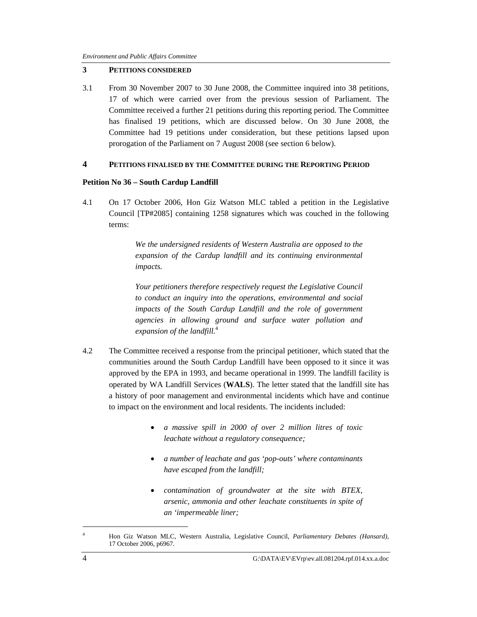## **3 PETITIONS CONSIDERED**

3.1 From 30 November 2007 to 30 June 2008, the Committee inquired into 38 petitions, 17 of which were carried over from the previous session of Parliament. The Committee received a further 21 petitions during this reporting period. The Committee has finalised 19 petitions, which are discussed below. On 30 June 2008, the Committee had 19 petitions under consideration, but these petitions lapsed upon prorogation of the Parliament on 7 August 2008 (see section 6 below).

## **4 PETITIONS FINALISED BY THE COMMITTEE DURING THE REPORTING PERIOD**

## **Petition No 36 – South Cardup Landfill**

4.1 On 17 October 2006, Hon Giz Watson MLC tabled a petition in the Legislative Council [TP#2085] containing 1258 signatures which was couched in the following terms:

> *We the undersigned residents of Western Australia are opposed to the expansion of the Cardup landfill and its continuing environmental impacts.*

> *Your petitioners therefore respectively request the Legislative Council to conduct an inquiry into the operations, environmental and social impacts of the South Cardup Landfill and the role of government agencies in allowing ground and surface water pollution and expansion of the landfill.*<sup>4</sup>

- 4.2 The Committee received a response from the principal petitioner, which stated that the communities around the South Cardup Landfill have been opposed to it since it was approved by the EPA in 1993, and became operational in 1999. The landfill facility is operated by WA Landfill Services (**WALS**). The letter stated that the landfill site has a history of poor management and environmental incidents which have and continue to impact on the environment and local residents. The incidents included:
	- *a massive spill in 2000 of over 2 million litres of toxic leachate without a regulatory consequence;*
	- *a number of leachate and gas 'pop-outs' where contaminants have escaped from the landfill;*
	- *contamination of groundwater at the site with BTEX, arsenic, ammonia and other leachate constituents in spite of an 'impermeable liner;*

<sup>4</sup> Hon Giz Watson MLC, Western Australia, Legislative Council, *Parliamentary Debates (Hansard),*  17 October 2006, p6967.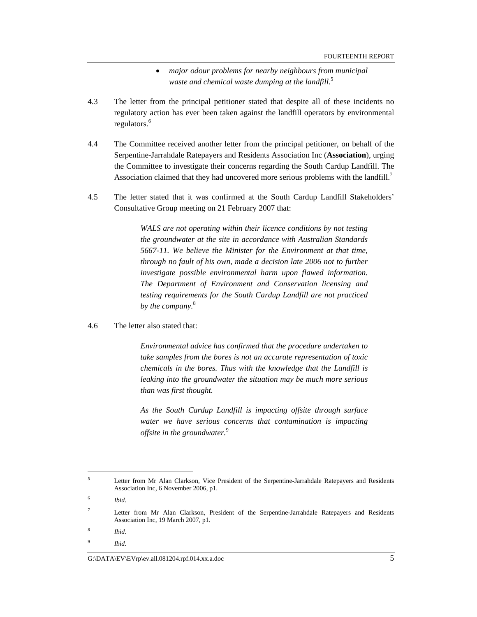- *major odour problems for nearby neighbours from municipal waste and chemical waste dumping at the landfill.*<sup>5</sup>
- 4.3 The letter from the principal petitioner stated that despite all of these incidents no regulatory action has ever been taken against the landfill operators by environmental regulators.<sup>6</sup>
- 4.4 The Committee received another letter from the principal petitioner, on behalf of the Serpentine-Jarrahdale Ratepayers and Residents Association Inc (**Association**), urging the Committee to investigate their concerns regarding the South Cardup Landfill. The Association claimed that they had uncovered more serious problems with the landfill.<sup>7</sup>
- 4.5 The letter stated that it was confirmed at the South Cardup Landfill Stakeholders' Consultative Group meeting on 21 February 2007 that:

*WALS are not operating within their licence conditions by not testing the groundwater at the site in accordance with Australian Standards 5667-11. We believe the Minister for the Environment at that time, through no fault of his own, made a decision late 2006 not to further investigate possible environmental harm upon flawed information. The Department of Environment and Conservation licensing and testing requirements for the South Cardup Landfill are not practiced*  by the company.<sup>8</sup>

4.6 The letter also stated that:

*Environmental advice has confirmed that the procedure undertaken to take samples from the bores is not an accurate representation of toxic chemicals in the bores. Thus with the knowledge that the Landfill is leaking into the groundwater the situation may be much more serious than was first thought.* 

*As the South Cardup Landfill is impacting offsite through surface water we have serious concerns that contamination is impacting offsite in the groundwater.*<sup>9</sup>

<sup>5</sup> Letter from Mr Alan Clarkson, Vice President of the Serpentine-Jarrahdale Ratepayers and Residents Association Inc, 6 November 2006, p1.

<sup>6</sup> *Ibid*.

<sup>7</sup> Letter from Mr Alan Clarkson, President of the Serpentine-Jarrahdale Ratepayers and Residents Association Inc, 19 March 2007, p1.

<sup>8</sup> *Ibid*.

<sup>9</sup> *Ibid*.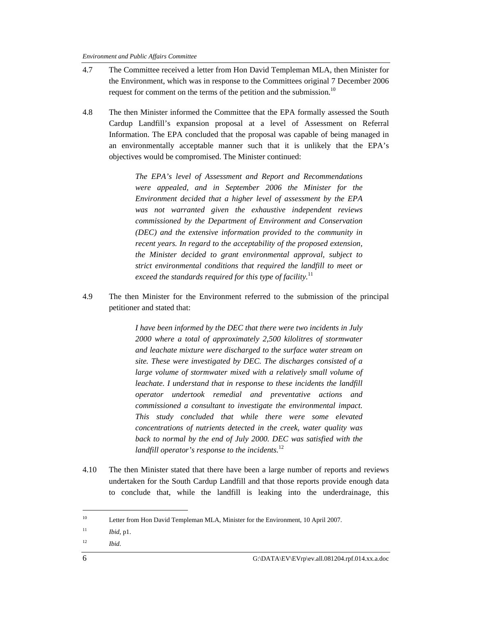- 4.7 The Committee received a letter from Hon David Templeman MLA, then Minister for the Environment, which was in response to the Committees original 7 December 2006 request for comment on the terms of the petition and the submission.<sup>10</sup>
- 4.8 The then Minister informed the Committee that the EPA formally assessed the South Cardup Landfill's expansion proposal at a level of Assessment on Referral Information. The EPA concluded that the proposal was capable of being managed in an environmentally acceptable manner such that it is unlikely that the EPA's objectives would be compromised. The Minister continued:

*The EPA's level of Assessment and Report and Recommendations were appealed, and in September 2006 the Minister for the Environment decided that a higher level of assessment by the EPA was not warranted given the exhaustive independent reviews commissioned by the Department of Environment and Conservation (DEC) and the extensive information provided to the community in recent years. In regard to the acceptability of the proposed extension, the Minister decided to grant environmental approval, subject to strict environmental conditions that required the landfill to meet or exceed the standards required for this type of facility.*<sup>11</sup>

4.9 The then Minister for the Environment referred to the submission of the principal petitioner and stated that:

> *I have been informed by the DEC that there were two incidents in July 2000 where a total of approximately 2,500 kilolitres of stormwater and leachate mixture were discharged to the surface water stream on site. These were investigated by DEC. The discharges consisted of a*  large volume of stormwater mixed with a relatively small volume of *leachate. I understand that in response to these incidents the landfill operator undertook remedial and preventative actions and commissioned a consultant to investigate the environmental impact. This study concluded that while there were some elevated concentrations of nutrients detected in the creek, water quality was back to normal by the end of July 2000. DEC was satisfied with the landfill operator's response to the incidents.*<sup>12</sup>

4.10 The then Minister stated that there have been a large number of reports and reviews undertaken for the South Cardup Landfill and that those reports provide enough data to conclude that, while the landfill is leaking into the underdrainage, this

12 *Ibid*.

<sup>&</sup>lt;sup>10</sup> Letter from Hon David Templeman MLA, Minister for the Environment, 10 April 2007.

<sup>11</sup> *Ibid*, p1.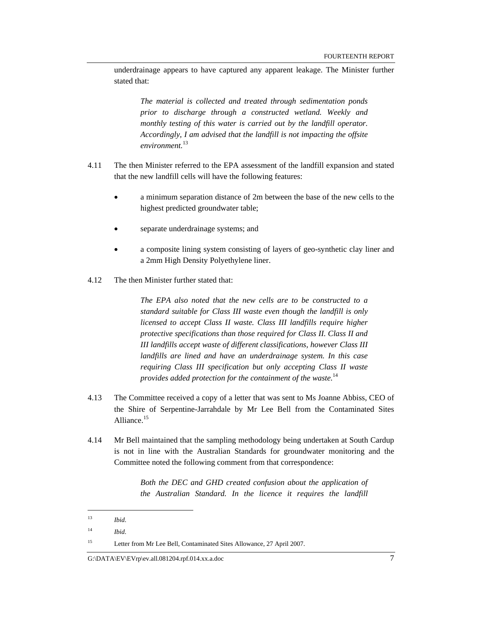underdrainage appears to have captured any apparent leakage. The Minister further stated that:

*The material is collected and treated through sedimentation ponds prior to discharge through a constructed wetland. Weekly and monthly testing of this water is carried out by the landfill operator. Accordingly, I am advised that the landfill is not impacting the offsite environment.*<sup>13</sup>

- 4.11 The then Minister referred to the EPA assessment of the landfill expansion and stated that the new landfill cells will have the following features:
	- a minimum separation distance of 2m between the base of the new cells to the highest predicted groundwater table;
	- separate underdrainage systems; and
	- a composite lining system consisting of layers of geo-synthetic clay liner and a 2mm High Density Polyethylene liner.
- 4.12 The then Minister further stated that:

*The EPA also noted that the new cells are to be constructed to a standard suitable for Class III waste even though the landfill is only licensed to accept Class II waste. Class III landfills require higher protective specifications than those required for Class II. Class II and III landfills accept waste of different classifications, however Class III landfills are lined and have an underdrainage system. In this case requiring Class III specification but only accepting Class II waste provides added protection for the containment of the waste.*<sup>14</sup>

- 4.13 The Committee received a copy of a letter that was sent to Ms Joanne Abbiss, CEO of the Shire of Serpentine-Jarrahdale by Mr Lee Bell from the Contaminated Sites Alliance.<sup>15</sup>
- 4.14 Mr Bell maintained that the sampling methodology being undertaken at South Cardup is not in line with the Australian Standards for groundwater monitoring and the Committee noted the following comment from that correspondence:

*Both the DEC and GHD created confusion about the application of the Australian Standard. In the licence it requires the landfill* 

<sup>13</sup> *Ibid*.

<sup>14</sup> *Ibid*.

<sup>&</sup>lt;sup>15</sup> Letter from Mr Lee Bell, Contaminated Sites Allowance, 27 April 2007.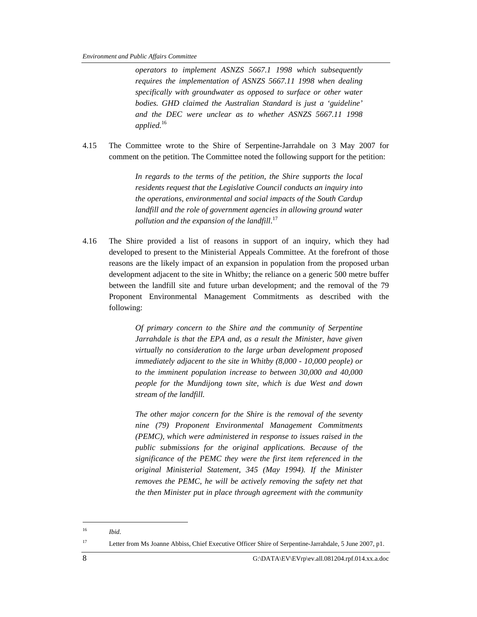*operators to implement ASNZS 5667.1 1998 which subsequently requires the implementation of ASNZS 5667.11 1998 when dealing specifically with groundwater as opposed to surface or other water bodies. GHD claimed the Australian Standard is just a 'guideline' and the DEC were unclear as to whether ASNZS 5667.11 1998 applied.*<sup>16</sup>

4.15 The Committee wrote to the Shire of Serpentine-Jarrahdale on 3 May 2007 for comment on the petition. The Committee noted the following support for the petition:

> *In regards to the terms of the petition, the Shire supports the local residents request that the Legislative Council conducts an inquiry into the operations, environmental and social impacts of the South Cardup*  landfill and the role of government agencies in allowing ground water *pollution and the expansion of the landfill*. 17

4.16 The Shire provided a list of reasons in support of an inquiry, which they had developed to present to the Ministerial Appeals Committee. At the forefront of those reasons are the likely impact of an expansion in population from the proposed urban development adjacent to the site in Whitby; the reliance on a generic 500 metre buffer between the landfill site and future urban development; and the removal of the 79 Proponent Environmental Management Commitments as described with the following:

> *Of primary concern to the Shire and the community of Serpentine Jarrahdale is that the EPA and, as a result the Minister, have given virtually no consideration to the large urban development proposed immediately adjacent to the site in Whitby (8,000 - 10,000 people) or to the imminent population increase to between 30,000 and 40,000 people for the Mundijong town site, which is due West and down stream of the landfill.*

> *The other major concern for the Shire is the removal of the seventy nine (79) Proponent Environmental Management Commitments (PEMC), which were administered in response to issues raised in the public submissions for the original applications. Because of the significance of the PEMC they were the first item referenced in the original Ministerial Statement, 345 (May 1994). If the Minister removes the PEMC, he will be actively removing the safety net that the then Minister put in place through agreement with the community*

<sup>16</sup> *Ibid*.

<sup>&</sup>lt;sup>17</sup> Letter from Ms Joanne Abbiss, Chief Executive Officer Shire of Serpentine-Jarrahdale, 5 June 2007, p1.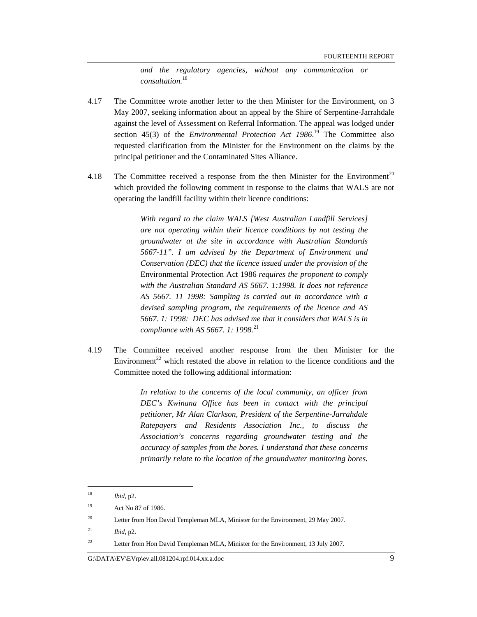*and the regulatory agencies, without any communication or consultation.*<sup>18</sup>

- 4.17 The Committee wrote another letter to the then Minister for the Environment, on 3 May 2007, seeking information about an appeal by the Shire of Serpentine-Jarrahdale against the level of Assessment on Referral Information. The appeal was lodged under section 45(3) of the *Environmental Protection Act 1986*.<sup>19</sup> The Committee also requested clarification from the Minister for the Environment on the claims by the principal petitioner and the Contaminated Sites Alliance.
- 4.18 The Committee received a response from the then Minister for the Environment<sup>20</sup> which provided the following comment in response to the claims that WALS are not operating the landfill facility within their licence conditions:

*With regard to the claim WALS [West Australian Landfill Services] are not operating within their licence conditions by not testing the groundwater at the site in accordance with Australian Standards 5667-11". I am advised by the Department of Environment and Conservation (DEC) that the licence issued under the provision of the*  Environmental Protection Act 1986 *requires the proponent to comply with the Australian Standard AS 5667. 1:1998. It does not reference AS 5667. 11 1998: Sampling is carried out in accordance with a devised sampling program, the requirements of the licence and AS 5667. 1: 1998: DEC has advised me that it considers that WALS is in compliance with AS 5667. 1: 1998.*<sup>21</sup>

4.19 The Committee received another response from the then Minister for the Environment<sup>22</sup> which restated the above in relation to the licence conditions and the Committee noted the following additional information:

> *In relation to the concerns of the local community, an officer from DEC's Kwinana Office has been in contact with the principal petitioner, Mr Alan Clarkson, President of the Serpentine-Jarrahdale Ratepayers and Residents Association Inc., to discuss the Association's concerns regarding groundwater testing and the accuracy of samples from the bores. I understand that these concerns primarily relate to the location of the groundwater monitoring bores.*

<sup>18</sup> *Ibid*, p2.

<sup>19</sup> Act No 87 of 1986.

<sup>&</sup>lt;sup>20</sup> Letter from Hon David Templeman MLA, Minister for the Environment, 29 May 2007.

<sup>21</sup> *Ibid*, p2.

<sup>&</sup>lt;sup>22</sup> Letter from Hon David Templeman MLA, Minister for the Environment, 13 July 2007.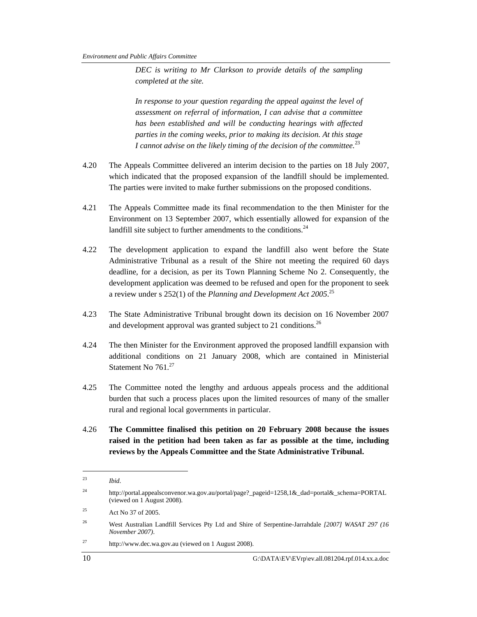*DEC is writing to Mr Clarkson to provide details of the sampling completed at the site.* 

*In response to your question regarding the appeal against the level of assessment on referral of information, I can advise that a committee has been established and will be conducting hearings with affected parties in the coming weeks, prior to making its decision. At this stage I* cannot advise on the likely timing of the decision of the committee.<sup>23</sup>

- 4.20 The Appeals Committee delivered an interim decision to the parties on 18 July 2007, which indicated that the proposed expansion of the landfill should be implemented. The parties were invited to make further submissions on the proposed conditions.
- 4.21 The Appeals Committee made its final recommendation to the then Minister for the Environment on 13 September 2007, which essentially allowed for expansion of the landfill site subject to further amendments to the conditions.<sup>24</sup>
- 4.22 The development application to expand the landfill also went before the State Administrative Tribunal as a result of the Shire not meeting the required 60 days deadline, for a decision, as per its Town Planning Scheme No 2. Consequently, the development application was deemed to be refused and open for the proponent to seek a review under s 252(1) of the *Planning and Development Act 2005*. 25
- 4.23 The State Administrative Tribunal brought down its decision on 16 November 2007 and development approval was granted subject to 21 conditions.<sup>26</sup>
- 4.24 The then Minister for the Environment approved the proposed landfill expansion with additional conditions on 21 January 2008, which are contained in Ministerial Statement No 761.<sup>27</sup>
- 4.25 The Committee noted the lengthy and arduous appeals process and the additional burden that such a process places upon the limited resources of many of the smaller rural and regional local governments in particular.
- 4.26 **The Committee finalised this petition on 20 February 2008 because the issues raised in the petition had been taken as far as possible at the time, including reviews by the Appeals Committee and the State Administrative Tribunal.**

 $27$  http://www.dec.wa.gov.au (viewed on 1 August 2008).

<sup>23</sup> *Ibid*.

<sup>24</sup> http://portal.appealsconvenor.wa.gov.au/portal/page?\_pageid=1258,1&\_dad=portal&\_schema=PORTAL (viewed on 1 August 2008).

<sup>25</sup> Act No 37 of 2005.

<sup>26</sup> West Australian Landfill Services Pty Ltd and Shire of Serpentine-Jarrahdale *[2007] WASAT 297 (16 November 2007)*.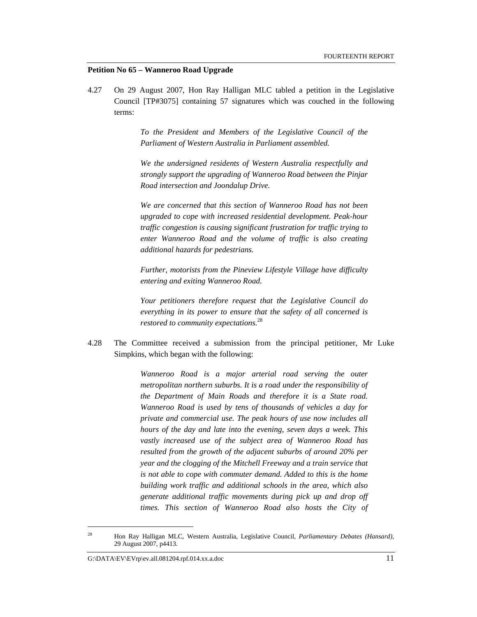#### **Petition No 65 – Wanneroo Road Upgrade**

4.27 On 29 August 2007, Hon Ray Halligan MLC tabled a petition in the Legislative Council [TP#3075] containing 57 signatures which was couched in the following terms:

> *To the President and Members of the Legislative Council of the Parliament of Western Australia in Parliament assembled.*

> *We the undersigned residents of Western Australia respectfully and strongly support the upgrading of Wanneroo Road between the Pinjar Road intersection and Joondalup Drive.*

> *We are concerned that this section of Wanneroo Road has not been upgraded to cope with increased residential development. Peak-hour traffic congestion is causing significant frustration for traffic trying to enter Wanneroo Road and the volume of traffic is also creating additional hazards for pedestrians.*

> *Further, motorists from the Pineview Lifestyle Village have difficulty entering and exiting Wanneroo Road.*

> *Your petitioners therefore request that the Legislative Council do everything in its power to ensure that the safety of all concerned is restored to community expectations.*<sup>28</sup>

4.28 The Committee received a submission from the principal petitioner, Mr Luke Simpkins, which began with the following:

> *Wanneroo Road is a major arterial road serving the outer metropolitan northern suburbs. It is a road under the responsibility of the Department of Main Roads and therefore it is a State road. Wanneroo Road is used by tens of thousands of vehicles a day for private and commercial use. The peak hours of use now includes all hours of the day and late into the evening, seven days a week. This vastly increased use of the subject area of Wanneroo Road has resulted from the growth of the adjacent suburbs of around 20% per year and the clogging of the Mitchell Freeway and a train service that is not able to cope with commuter demand. Added to this is the home building work traffic and additional schools in the area, which also generate additional traffic movements during pick up and drop off times. This section of Wanneroo Road also hosts the City of*

<sup>28</sup> Hon Ray Halligan MLC, Western Australia, Legislative Council, *Parliamentary Debates (Hansard),*  29 August 2007, p4413.

G:\DATA\EV\EVrp\ev.all.081204.rpf.014.xx.a.doc 11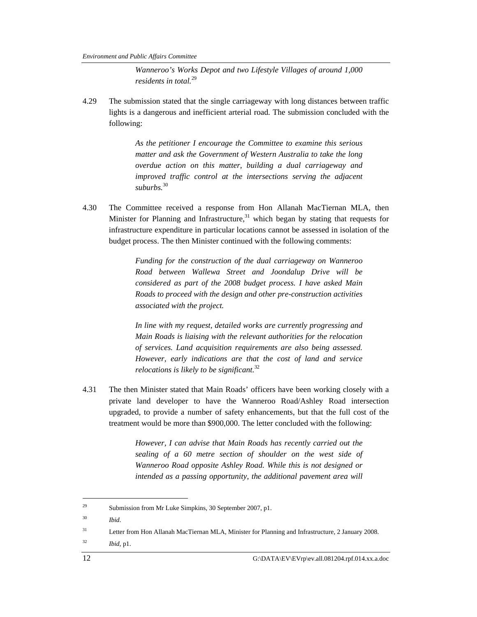*Wanneroo's Works Depot and two Lifestyle Villages of around 1,000 residents in total.*<sup>29</sup>

4.29 The submission stated that the single carriageway with long distances between traffic lights is a dangerous and inefficient arterial road. The submission concluded with the following:

> *As the petitioner I encourage the Committee to examine this serious matter and ask the Government of Western Australia to take the long overdue action on this matter, building a dual carriageway and improved traffic control at the intersections serving the adjacent suburbs.*<sup>30</sup>

4.30 The Committee received a response from Hon Allanah MacTiernan MLA, then Minister for Planning and Infrastructure, $31$  which began by stating that requests for infrastructure expenditure in particular locations cannot be assessed in isolation of the budget process. The then Minister continued with the following comments:

> *Funding for the construction of the dual carriageway on Wanneroo Road between Wallewa Street and Joondalup Drive will be considered as part of the 2008 budget process. I have asked Main Roads to proceed with the design and other pre-construction activities associated with the project.*

> *In line with my request, detailed works are currently progressing and Main Roads is liaising with the relevant authorities for the relocation of services. Land acquisition requirements are also being assessed. However, early indications are that the cost of land and service relocations is likely to be significant.*<sup>32</sup>

4.31 The then Minister stated that Main Roads' officers have been working closely with a private land developer to have the Wanneroo Road/Ashley Road intersection upgraded, to provide a number of safety enhancements, but that the full cost of the treatment would be more than \$900,000. The letter concluded with the following:

> *However, I can advise that Main Roads has recently carried out the sealing of a 60 metre section of shoulder on the west side of Wanneroo Road opposite Ashley Road. While this is not designed or intended as a passing opportunity, the additional pavement area will*

30 *Ibid*.

<sup>&</sup>lt;sup>29</sup> Submission from Mr Luke Simpkins, 30 September 2007, p1.

<sup>&</sup>lt;sup>31</sup> Letter from Hon Allanah MacTiernan MLA, Minister for Planning and Infrastructure, 2 January 2008. 32 *Ibid*, p1.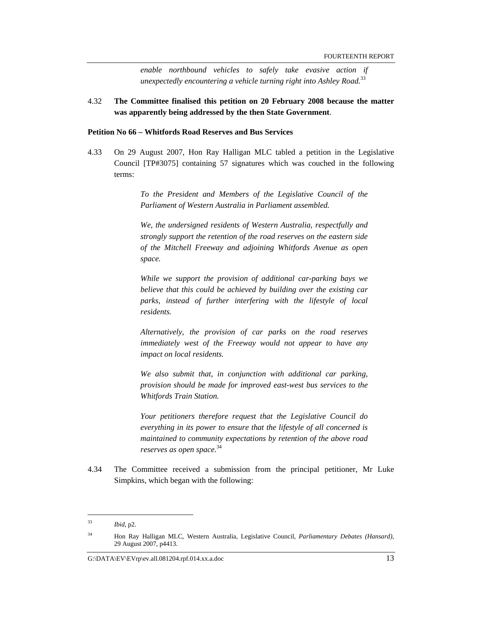*enable northbound vehicles to safely take evasive action if unexpectedly encountering a vehicle turning right into Ashley Road.*<sup>33</sup>

## 4.32 **The Committee finalised this petition on 20 February 2008 because the matter was apparently being addressed by the then State Government**.

**Petition No 66 – Whitfords Road Reserves and Bus Services** 

4.33 On 29 August 2007, Hon Ray Halligan MLC tabled a petition in the Legislative Council [TP#3075] containing 57 signatures which was couched in the following terms:

> *To the President and Members of the Legislative Council of the Parliament of Western Australia in Parliament assembled.*

> *We, the undersigned residents of Western Australia, respectfully and strongly support the retention of the road reserves on the eastern side of the Mitchell Freeway and adjoining Whitfords Avenue as open space.*

> *While we support the provision of additional car-parking bays we believe that this could be achieved by building over the existing car parks, instead of further interfering with the lifestyle of local residents.*

> *Alternatively, the provision of car parks on the road reserves immediately west of the Freeway would not appear to have any impact on local residents.*

> *We also submit that, in conjunction with additional car parking, provision should be made for improved east-west bus services to the Whitfords Train Station.*

> *Your petitioners therefore request that the Legislative Council do everything in its power to ensure that the lifestyle of all concerned is maintained to community expectations by retention of the above road reserves as open space.* 34

4.34 The Committee received a submission from the principal petitioner, Mr Luke Simpkins, which began with the following:

<sup>33</sup> *Ibid*, p2.

<sup>34</sup> Hon Ray Halligan MLC, Western Australia, Legislative Council, *Parliamentary Debates (Hansard),*  29 August 2007, p4413.

G:\DATA\EV\EVrp\ev.all.081204.rpf.014.xx.a.doc 13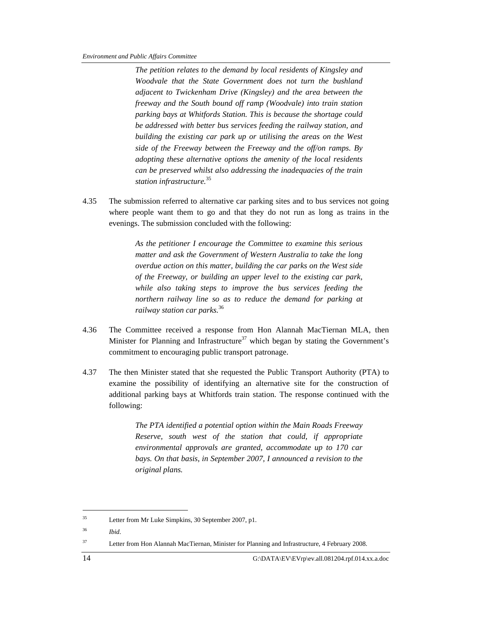*The petition relates to the demand by local residents of Kingsley and Woodvale that the State Government does not turn the bushland adjacent to Twickenham Drive (Kingsley) and the area between the freeway and the South bound off ramp (Woodvale) into train station parking bays at Whitfords Station. This is because the shortage could be addressed with better bus services feeding the railway station, and building the existing car park up or utilising the areas on the West side of the Freeway between the Freeway and the off/on ramps. By adopting these alternative options the amenity of the local residents can be preserved whilst also addressing the inadequacies of the train station infrastructure.*<sup>35</sup>

4.35 The submission referred to alternative car parking sites and to bus services not going where people want them to go and that they do not run as long as trains in the evenings. The submission concluded with the following:

> *As the petitioner I encourage the Committee to examine this serious matter and ask the Government of Western Australia to take the long overdue action on this matter, building the car parks on the West side of the Freeway, or building an upper level to the existing car park, while also taking steps to improve the bus services feeding the northern railway line so as to reduce the demand for parking at railway station car parks.*<sup>36</sup>

- 4.36 The Committee received a response from Hon Alannah MacTiernan MLA, then Minister for Planning and Infrastructure<sup>37</sup> which began by stating the Government's commitment to encouraging public transport patronage.
- 4.37 The then Minister stated that she requested the Public Transport Authority (PTA) to examine the possibility of identifying an alternative site for the construction of additional parking bays at Whitfords train station. The response continued with the following:

*The PTA identified a potential option within the Main Roads Freeway Reserve, south west of the station that could, if appropriate environmental approvals are granted, accommodate up to 170 car bays. On that basis, in September 2007, I announced a revision to the original plans.* 

<sup>35</sup> Letter from Mr Luke Simpkins, 30 September 2007, p1.

<sup>36</sup> *Ibid*.

<sup>&</sup>lt;sup>37</sup> Letter from Hon Alannah MacTiernan, Minister for Planning and Infrastructure, 4 February 2008.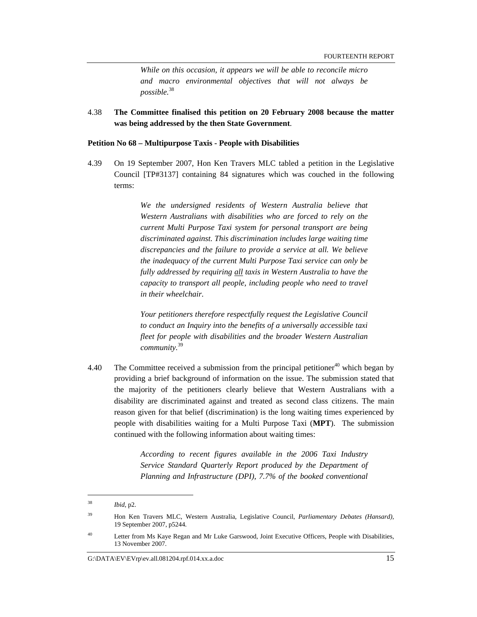*While on this occasion, it appears we will be able to reconcile micro and macro environmental objectives that will not always be possible.*<sup>38</sup>

4.38 **The Committee finalised this petition on 20 February 2008 because the matter was being addressed by the then State Government**.

#### **Petition No 68 – Multipurpose Taxis - People with Disabilities**

4.39 On 19 September 2007, Hon Ken Travers MLC tabled a petition in the Legislative Council [TP#3137] containing 84 signatures which was couched in the following terms:

> *We the undersigned residents of Western Australia believe that Western Australians with disabilities who are forced to rely on the current Multi Purpose Taxi system for personal transport are being discriminated against. This discrimination includes large waiting time discrepancies and the failure to provide a service at all. We believe the inadequacy of the current Multi Purpose Taxi service can only be fully addressed by requiring all taxis in Western Australia to have the capacity to transport all people, including people who need to travel in their wheelchair.*

> *Your petitioners therefore respectfully request the Legislative Council to conduct an Inquiry into the benefits of a universally accessible taxi fleet for people with disabilities and the broader Western Australian community.*<sup>39</sup>

4.40 The Committee received a submission from the principal petitioner<sup>40</sup> which began by providing a brief background of information on the issue. The submission stated that the majority of the petitioners clearly believe that Western Australians with a disability are discriminated against and treated as second class citizens. The main reason given for that belief (discrimination) is the long waiting times experienced by people with disabilities waiting for a Multi Purpose Taxi (**MPT**). The submission continued with the following information about waiting times:

> *According to recent figures available in the 2006 Taxi Industry Service Standard Quarterly Report produced by the Department of Planning and Infrastructure (DPI), 7.7% of the booked conventional*

<sup>38</sup> *Ibid*, p2.

<sup>39</sup> Hon Ken Travers MLC, Western Australia, Legislative Council, *Parliamentary Debates (Hansard),*  19 September 2007, p5244.

<sup>&</sup>lt;sup>40</sup> Letter from Ms Kaye Regan and Mr Luke Garswood, Joint Executive Officers, People with Disabilities, 13 November 2007.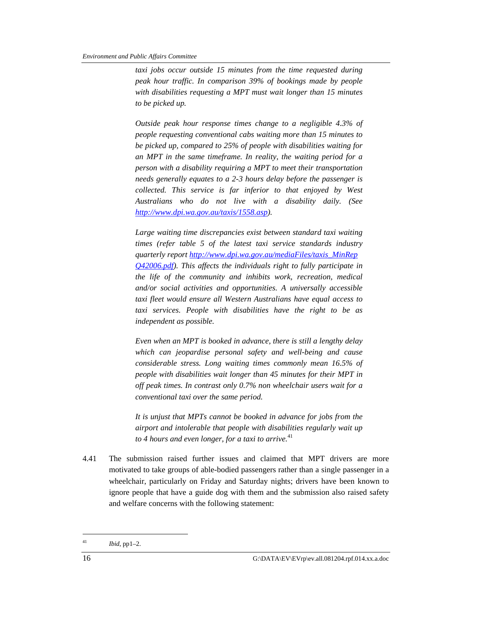*taxi jobs occur outside 15 minutes from the time requested during peak hour traffic. In comparison 39% of bookings made by people with disabilities requesting a MPT must wait longer than 15 minutes to be picked up.* 

*Outside peak hour response times change to a negligible 4.3% of people requesting conventional cabs waiting more than 15 minutes to be picked up, compared to 25% of people with disabilities waiting for an MPT in the same timeframe. In reality, the waiting period for a person with a disability requiring a MPT to meet their transportation needs generally equates to a 2-3 hours delay before the passenger is collected. This service is far inferior to that enjoyed by West Australians who do not live with a disability daily. (See http://www.dpi.wa.gov.au/taxis/1558.asp).* 

*Large waiting time discrepancies exist between standard taxi waiting times (refer table 5 of the latest taxi service standards industry quarterly report http://www.dpi.wa.gov.au/mediaFiles/taxis\_MinRep Q42006.pdf). This affects the individuals right to fully participate in the life of the community and inhibits work, recreation, medical and/or social activities and opportunities. A universally accessible taxi fleet would ensure all Western Australians have equal access to taxi services. People with disabilities have the right to be as independent as possible.*

*Even when an MPT is booked in advance, there is still a lengthy delay which can jeopardise personal safety and well-being and cause considerable stress. Long waiting times commonly mean 16.5% of people with disabilities wait longer than 45 minutes for their MPT in off peak times. In contrast only 0.7% non wheelchair users wait for a conventional taxi over the same period.* 

*It is unjust that MPTs cannot be booked in advance for jobs from the airport and intolerable that people with disabilities regularly wait up to 4 hours and even longer, for a taxi to arrive.*<sup>41</sup>

4.41 The submission raised further issues and claimed that MPT drivers are more motivated to take groups of able-bodied passengers rather than a single passenger in a wheelchair, particularly on Friday and Saturday nights; drivers have been known to ignore people that have a guide dog with them and the submission also raised safety and welfare concerns with the following statement:

<sup>41</sup> *Ibid*, pp1–2.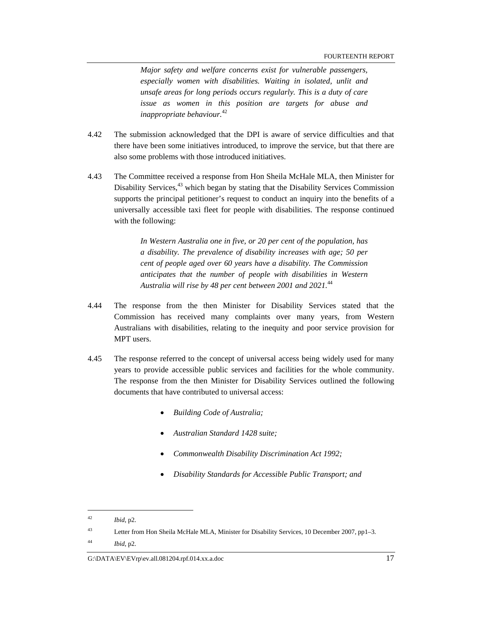*Major safety and welfare concerns exist for vulnerable passengers, especially women with disabilities. Waiting in isolated, unlit and unsafe areas for long periods occurs regularly. This is a duty of care issue as women in this position are targets for abuse and inappropriate behaviour.*<sup>42</sup>

- 4.42 The submission acknowledged that the DPI is aware of service difficulties and that there have been some initiatives introduced, to improve the service, but that there are also some problems with those introduced initiatives.
- 4.43 The Committee received a response from Hon Sheila McHale MLA, then Minister for Disability Services,<sup>43</sup> which began by stating that the Disability Services Commission supports the principal petitioner's request to conduct an inquiry into the benefits of a universally accessible taxi fleet for people with disabilities. The response continued with the following:

*In Western Australia one in five, or 20 per cent of the population, has a disability. The prevalence of disability increases with age; 50 per cent of people aged over 60 years have a disability. The Commission anticipates that the number of people with disabilities in Western Australia will rise by 48 per cent between 2001 and 2021.*<sup>44</sup>

- 4.44 The response from the then Minister for Disability Services stated that the Commission has received many complaints over many years, from Western Australians with disabilities, relating to the inequity and poor service provision for MPT users.
- 4.45 The response referred to the concept of universal access being widely used for many years to provide accessible public services and facilities for the whole community. The response from the then Minister for Disability Services outlined the following documents that have contributed to universal access:
	- *Building Code of Australia;*
	- *Australian Standard 1428 suite;*
	- *Commonwealth Disability Discrimination Act 1992;*
	- *Disability Standards for Accessible Public Transport; and*

<sup>42</sup> *Ibid*, p2.

<sup>43</sup> Letter from Hon Sheila McHale MLA, Minister for Disability Services, 10 December 2007, pp1–3.

<sup>44</sup> *Ibid*, p2.

G:\DATA\EV\EVrp\ev.all.081204.rpf.014.xx.a.doc 17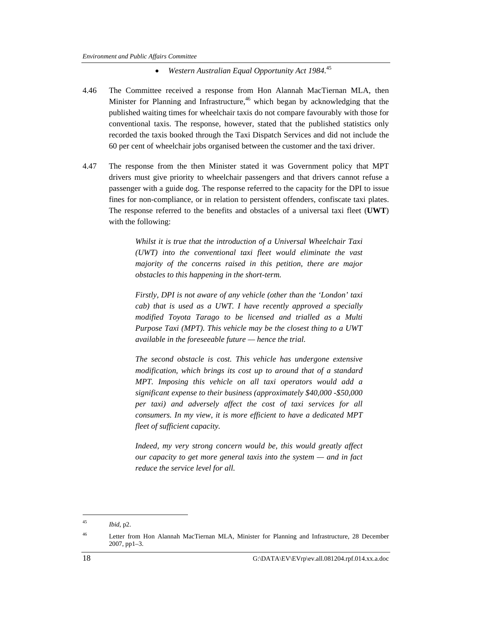## • *Western Australian Equal Opportunity Act 1984.*<sup>45</sup>

- 4.46 The Committee received a response from Hon Alannah MacTiernan MLA, then Minister for Planning and Infrastructure,<sup>46</sup> which began by acknowledging that the published waiting times for wheelchair taxis do not compare favourably with those for conventional taxis. The response, however, stated that the published statistics only recorded the taxis booked through the Taxi Dispatch Services and did not include the 60 per cent of wheelchair jobs organised between the customer and the taxi driver.
- 4.47 The response from the then Minister stated it was Government policy that MPT drivers must give priority to wheelchair passengers and that drivers cannot refuse a passenger with a guide dog. The response referred to the capacity for the DPI to issue fines for non-compliance, or in relation to persistent offenders, confiscate taxi plates. The response referred to the benefits and obstacles of a universal taxi fleet (**UWT**) with the following:

*Whilst it is true that the introduction of a Universal Wheelchair Taxi (UWT) into the conventional taxi fleet would eliminate the vast majority of the concerns raised in this petition, there are major obstacles to this happening in the short-term.* 

*Firstly, DPI is not aware of any vehicle (other than the 'London' taxi cab) that is used as a UWT. I have recently approved a specially modified Toyota Tarago to be licensed and trialled as a Multi Purpose Taxi (MPT). This vehicle may be the closest thing to a UWT available in the foreseeable future — hence the trial.* 

*The second obstacle is cost. This vehicle has undergone extensive modification, which brings its cost up to around that of a standard MPT. Imposing this vehicle on all taxi operators would add a significant expense to their business (approximately \$40,000 -\$50,000 per taxi) and adversely affect the cost of taxi services for all consumers. In my view, it is more efficient to have a dedicated MPT fleet of sufficient capacity.* 

*Indeed, my very strong concern would be, this would greatly affect our capacity to get more general taxis into the system — and in fact reduce the service level for all.*

<sup>45</sup> *Ibid*, p2.

<sup>46</sup> Letter from Hon Alannah MacTiernan MLA, Minister for Planning and Infrastructure, 28 December 2007, pp1–3.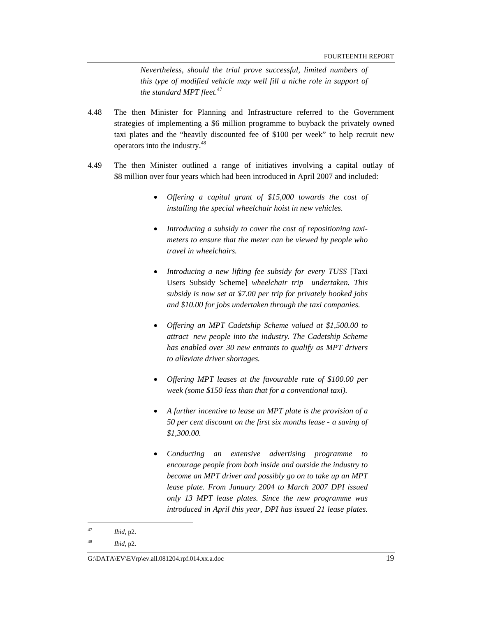*Nevertheless, should the trial prove successful, limited numbers of this type of modified vehicle may well fill a niche role in support of the standard MPT fleet.*<sup>47</sup>

- 4.48 The then Minister for Planning and Infrastructure referred to the Government strategies of implementing a \$6 million programme to buyback the privately owned taxi plates and the "heavily discounted fee of \$100 per week" to help recruit new operators into the industry.<sup>48</sup>
- 4.49 The then Minister outlined a range of initiatives involving a capital outlay of \$8 million over four years which had been introduced in April 2007 and included:
	- *Offering a capital grant of \$15,000 towards the cost of installing the special wheelchair hoist in new vehicles.*
	- *Introducing a subsidy to cover the cost of repositioning taximeters to ensure that the meter can be viewed by people who travel in wheelchairs.*
	- *Introducing a new lifting fee subsidy for every TUSS* [Taxi Users Subsidy Scheme] *wheelchair trip undertaken. This subsidy is now set at \$7.00 per trip for privately booked jobs and \$10.00 for jobs undertaken through the taxi companies.*
	- *Offering an MPT Cadetship Scheme valued at \$1,500.00 to attract new people into the industry. The Cadetship Scheme has enabled over 30 new entrants to qualify as MPT drivers to alleviate driver shortages.*
	- *Offering MPT leases at the favourable rate of \$100.00 per week (some \$150 less than that for a conventional taxi).*
	- *A further incentive to lease an MPT plate is the provision of a 50 per cent discount on the first six months lease - a saving of \$1,300.00.*
	- *Conducting an extensive advertising programme to encourage people from both inside and outside the industry to become an MPT driver and possibly go on to take up an MPT lease plate. From January 2004 to March 2007 DPI issued only 13 MPT lease plates. Since the new programme was introduced in April this year, DPI has issued 21 lease plates.*

<sup>47</sup> *Ibid*, p2.

<sup>48</sup> *Ibid*, p2.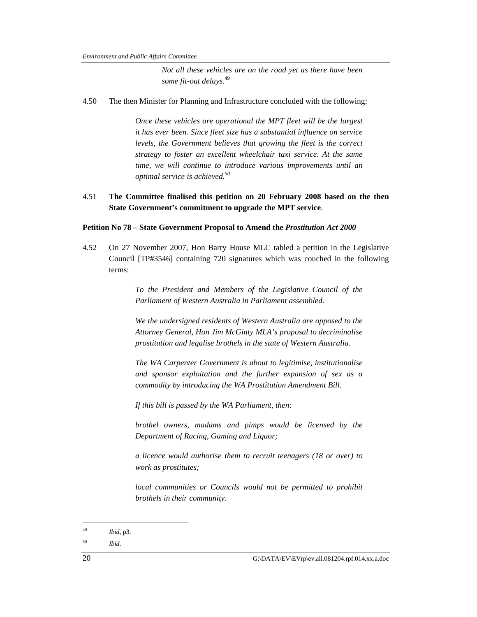*Not all these vehicles are on the road yet as there have been some fit-out delays.*<sup>49</sup>

### 4.50 The then Minister for Planning and Infrastructure concluded with the following:

*Once these vehicles are operational the MPT fleet will be the largest it has ever been. Since fleet size has a substantial influence on service levels, the Government believes that growing the fleet is the correct strategy to foster an excellent wheelchair taxi service. At the same time, we will continue to introduce various improvements until an optimal service is achieved.50*

## 4.51 **The Committee finalised this petition on 20 February 2008 based on the then State Government's commitment to upgrade the MPT service**.

#### **Petition No 78 – State Government Proposal to Amend the** *Prostitution Act 2000*

4.52 On 27 November 2007, Hon Barry House MLC tabled a petition in the Legislative Council [TP#3546] containing 720 signatures which was couched in the following terms:

> *To the President and Members of the Legislative Council of the Parliament of Western Australia in Parliament assembled.*

> *We the undersigned residents of Western Australia are opposed to the Attorney General, Hon Jim McGinty MLA's proposal to decriminalise prostitution and legalise brothels in the state of Western Australia.*

> *The WA Carpenter Government is about to legitimise, institutionalise and sponsor exploitation and the further expansion of sex as a commodity by introducing the WA Prostitution Amendment Bill.*

*If this bill is passed by the WA Parliament, then:* 

*brothel owners, madams and pimps would be licensed by the Department of Racing, Gaming and Liquor;* 

*a licence would authorise them to recruit teenagers (18 or over) to work as prostitutes;* 

*local communities or Councils would not be permitted to prohibit brothels in their community.* 

<sup>49</sup> *Ibid*, p3.

<sup>50</sup> *Ibid*.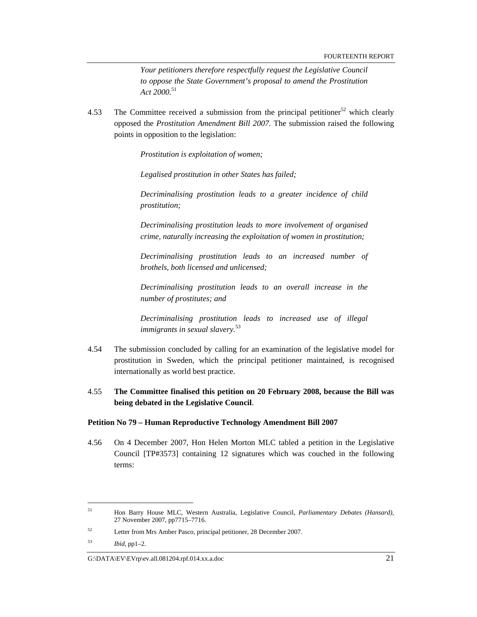*Your petitioners therefore respectfully request the Legislative Council to oppose the State Government's proposal to amend the Prostitution Act 2000.*<sup>51</sup>

4.53 The Committee received a submission from the principal petitioner<sup>52</sup> which clearly opposed the *Prostitution Amendment Bill 2007*. The submission raised the following points in opposition to the legislation:

*Prostitution is exploitation of women;* 

*Legalised prostitution in other States has failed;* 

*Decriminalising prostitution leads to a greater incidence of child prostitution;* 

*Decriminalising prostitution leads to more involvement of organised crime, naturally increasing the exploitation of women in prostitution;* 

*Decriminalising prostitution leads to an increased number of brothels, both licensed and unlicensed;* 

*Decriminalising prostitution leads to an overall increase in the number of prostitutes; and* 

*Decriminalising prostitution leads to increased use of illegal immigrants in sexual slavery.*<sup>53</sup>

- 4.54 The submission concluded by calling for an examination of the legislative model for prostitution in Sweden, which the principal petitioner maintained, is recognised internationally as world best practice.
- 4.55 **The Committee finalised this petition on 20 February 2008, because the Bill was being debated in the Legislative Council**.

#### **Petition No 79 – Human Reproductive Technology Amendment Bill 2007**

4.56 On 4 December 2007, Hon Helen Morton MLC tabled a petition in the Legislative Council [TP#3573] containing 12 signatures which was couched in the following terms:

l

G:\DATA\EV\EVrp\ev.all.081204.rpf.014.xx.a.doc 21

<sup>51</sup> Hon Barry House MLC, Western Australia, Legislative Council, *Parliamentary Debates (Hansard),*  27 November 2007, pp7715–7716.

<sup>52</sup> Letter from Mrs Amber Pasco, principal petitioner, 28 December 2007.

<sup>53</sup> *Ibid*, pp1–2.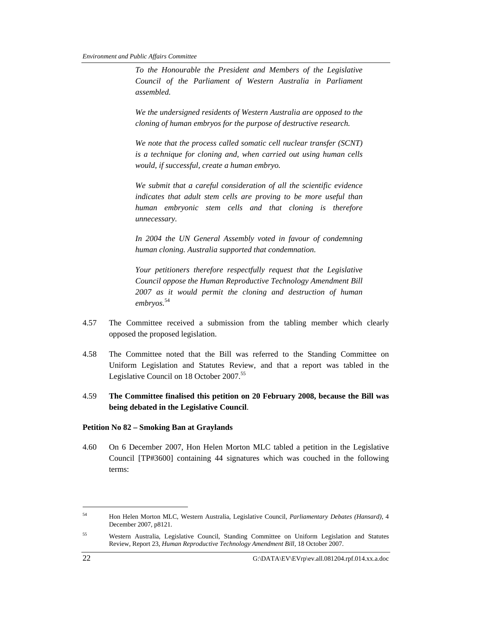*To the Honourable the President and Members of the Legislative Council of the Parliament of Western Australia in Parliament assembled.* 

*We the undersigned residents of Western Australia are opposed to the cloning of human embryos for the purpose of destructive research.* 

*We note that the process called somatic cell nuclear transfer (SCNT) is a technique for cloning and, when carried out using human cells would, if successful, create a human embryo.* 

*We submit that a careful consideration of all the scientific evidence indicates that adult stem cells are proving to be more useful than human embryonic stem cells and that cloning is therefore unnecessary.* 

*In 2004 the UN General Assembly voted in favour of condemning human cloning. Australia supported that condemnation.* 

*Your petitioners therefore respectfully request that the Legislative Council oppose the Human Reproductive Technology Amendment Bill 2007 as it would permit the cloning and destruction of human embryos.*<sup>54</sup>

- 4.57 The Committee received a submission from the tabling member which clearly opposed the proposed legislation.
- 4.58 The Committee noted that the Bill was referred to the Standing Committee on Uniform Legislation and Statutes Review, and that a report was tabled in the Legislative Council on 18 October 2007.<sup>55</sup>
- 4.59 **The Committee finalised this petition on 20 February 2008, because the Bill was being debated in the Legislative Council**.

### **Petition No 82 – Smoking Ban at Graylands**

4.60 On 6 December 2007, Hon Helen Morton MLC tabled a petition in the Legislative Council [TP#3600] containing 44 signatures which was couched in the following terms:

<sup>54</sup> Hon Helen Morton MLC, Western Australia, Legislative Council, *Parliamentary Debates (Hansard),* 4 December 2007, p8121.

<sup>55</sup> Western Australia, Legislative Council, Standing Committee on Uniform Legislation and Statutes Review, Report 23, *Human Reproductive Technology Amendment Bill,* 18 October 2007.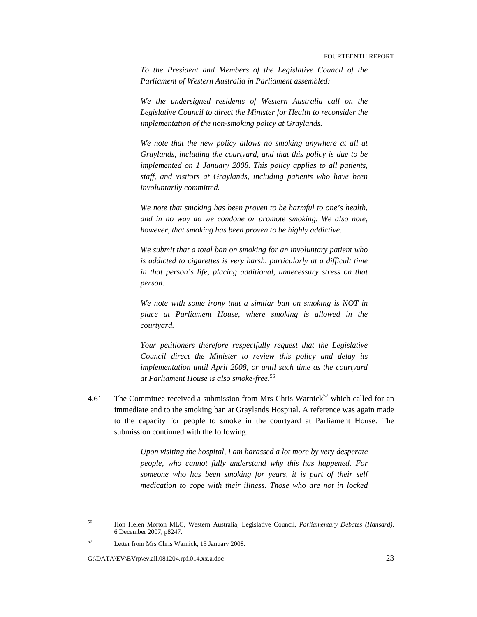*To the President and Members of the Legislative Council of the Parliament of Western Australia in Parliament assembled:* 

*We the undersigned residents of Western Australia call on the Legislative Council to direct the Minister for Health to reconsider the implementation of the non-smoking policy at Graylands.* 

*We note that the new policy allows no smoking anywhere at all at Graylands, including the courtyard, and that this policy is due to be implemented on 1 January 2008. This policy applies to all patients, staff, and visitors at Graylands, including patients who have been involuntarily committed.* 

*We note that smoking has been proven to be harmful to one's health, and in no way do we condone or promote smoking. We also note, however, that smoking has been proven to be highly addictive.* 

*We submit that a total ban on smoking for an involuntary patient who is addicted to cigarettes is very harsh, particularly at a difficult time in that person's life, placing additional, unnecessary stress on that person.* 

*We note with some irony that a similar ban on smoking is NOT in place at Parliament House, where smoking is allowed in the courtyard.* 

*Your petitioners therefore respectfully request that the Legislative Council direct the Minister to review this policy and delay its implementation until April 2008, or until such time as the courtyard at Parliament House is also smoke-free.*<sup>56</sup>

4.61 The Committee received a submission from Mrs Chris Warnick<sup>57</sup> which called for an immediate end to the smoking ban at Graylands Hospital. A reference was again made to the capacity for people to smoke in the courtyard at Parliament House. The submission continued with the following:

> *Upon visiting the hospital, I am harassed a lot more by very desperate people, who cannot fully understand why this has happened. For someone who has been smoking for years, it is part of their self medication to cope with their illness. Those who are not in locked*

<sup>56</sup> Hon Helen Morton MLC, Western Australia, Legislative Council, *Parliamentary Debates (Hansard),*  6 December 2007, p8247.

<sup>57</sup> Letter from Mrs Chris Warnick, 15 January 2008.

G:\DATA\EV\EVrp\ev.all.081204.rpf.014.xx.a.doc 23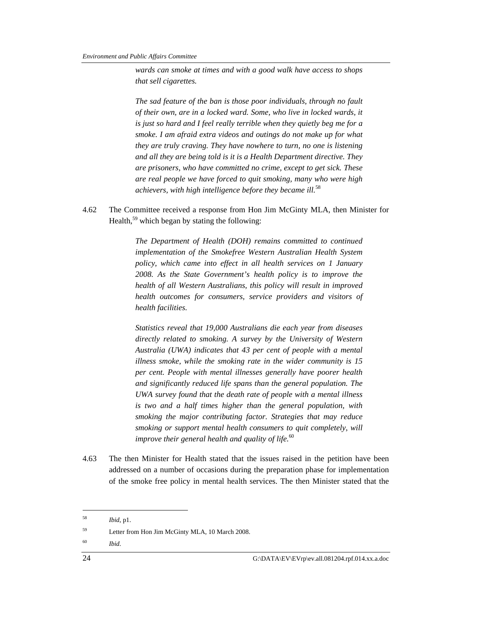*wards can smoke at times and with a good walk have access to shops that sell cigarettes.* 

*The sad feature of the ban is those poor individuals, through no fault of their own, are in a locked ward. Some, who live in locked wards, it is just so hard and I feel really terrible when they quietly beg me for a smoke. I am afraid extra videos and outings do not make up for what they are truly craving. They have nowhere to turn, no one is listening and all they are being told is it is a Health Department directive. They are prisoners, who have committed no crime, except to get sick. These are real people we have forced to quit smoking, many who were high achievers, with high intelligence before they became ill.*<sup>58</sup>

4.62 The Committee received a response from Hon Jim McGinty MLA, then Minister for Health, $59$  which began by stating the following:

> *The Department of Health (DOH) remains committed to continued implementation of the Smokefree Western Australian Health System policy, which came into effect in all health services on 1 January 2008. As the State Government's health policy is to improve the health of all Western Australians, this policy will result in improved health outcomes for consumers, service providers and visitors of health facilities.*

> *Statistics reveal that 19,000 Australians die each year from diseases directly related to smoking. A survey by the University of Western Australia (UWA) indicates that 43 per cent of people with a mental illness smoke, while the smoking rate in the wider community is 15 per cent. People with mental illnesses generally have poorer health and significantly reduced life spans than the general population. The UWA survey found that the death rate of people with a mental illness is two and a half times higher than the general population, with smoking the major contributing factor. Strategies that may reduce smoking or support mental health consumers to quit completely, will improve their general health and quality of life.*<sup>60</sup>

4.63 The then Minister for Health stated that the issues raised in the petition have been addressed on a number of occasions during the preparation phase for implementation of the smoke free policy in mental health services. The then Minister stated that the

<sup>58</sup> *Ibid*, p1.

<sup>59</sup> Letter from Hon Jim McGinty MLA, 10 March 2008.

<sup>60</sup> *Ibid*.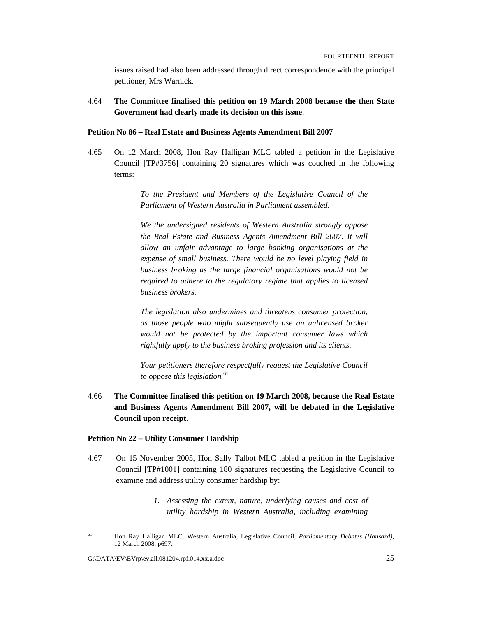issues raised had also been addressed through direct correspondence with the principal petitioner, Mrs Warnick.

4.64 **The Committee finalised this petition on 19 March 2008 because the then State Government had clearly made its decision on this issue**.

**Petition No 86 – Real Estate and Business Agents Amendment Bill 2007** 

4.65 On 12 March 2008, Hon Ray Halligan MLC tabled a petition in the Legislative Council [TP#3756] containing 20 signatures which was couched in the following terms:

> *To the President and Members of the Legislative Council of the Parliament of Western Australia in Parliament assembled.*

> *We the undersigned residents of Western Australia strongly oppose the Real Estate and Business Agents Amendment Bill 2007. It will allow an unfair advantage to large banking organisations at the expense of small business. There would be no level playing field in business broking as the large financial organisations would not be required to adhere to the regulatory regime that applies to licensed business brokers.*

> *The legislation also undermines and threatens consumer protection, as those people who might subsequently use an unlicensed broker would not be protected by the important consumer laws which rightfully apply to the business broking profession and its clients.*

> *Your petitioners therefore respectfully request the Legislative Council to oppose this legislation.*<sup>61</sup>

4.66 **The Committee finalised this petition on 19 March 2008, because the Real Estate and Business Agents Amendment Bill 2007, will be debated in the Legislative Council upon receipt**.

#### **Petition No 22 – Utility Consumer Hardship**

- 4.67 On 15 November 2005, Hon Sally Talbot MLC tabled a petition in the Legislative Council [TP#1001] containing 180 signatures requesting the Legislative Council to examine and address utility consumer hardship by:
	- *1. Assessing the extent, nature, underlying causes and cost of utility hardship in Western Australia, including examining*

<sup>61</sup> Hon Ray Halligan MLC, Western Australia, Legislative Council, *Parliamentary Debates (Hansard),*  12 March 2008, p697.

G:\DATA\EV\EVrp\ev.all.081204.rpf.014.xx.a.doc 25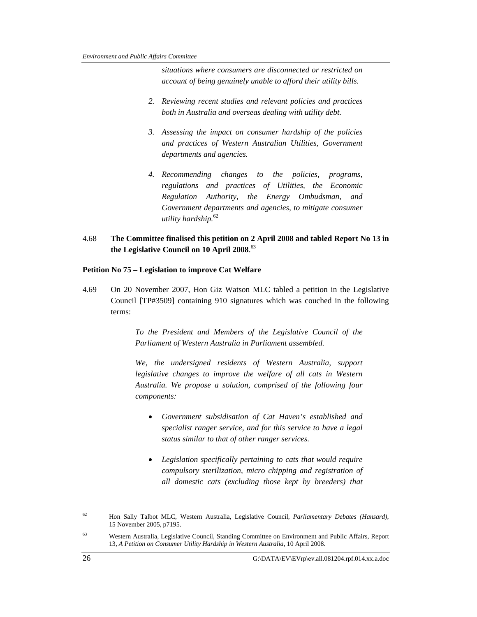*situations where consumers are disconnected or restricted on account of being genuinely unable to afford their utility bills.* 

- *2. Reviewing recent studies and relevant policies and practices both in Australia and overseas dealing with utility debt.*
- *3. Assessing the impact on consumer hardship of the policies and practices of Western Australian Utilities, Government departments and agencies.*
- *4. Recommending changes to the policies, programs, regulations and practices of Utilities, the Economic Regulation Authority, the Energy Ombudsman, and Government departments and agencies, to mitigate consumer utility hardship.*<sup>62</sup>

## 4.68 **The Committee finalised this petition on 2 April 2008 and tabled Report No 13 in the Legislative Council on 10 April 2008**. 63

## **Petition No 75 – Legislation to improve Cat Welfare**

4.69 On 20 November 2007, Hon Giz Watson MLC tabled a petition in the Legislative Council [TP#3509] containing 910 signatures which was couched in the following terms:

> *To the President and Members of the Legislative Council of the Parliament of Western Australia in Parliament assembled.*

> *We, the undersigned residents of Western Australia, support legislative changes to improve the welfare of all cats in Western Australia. We propose a solution, comprised of the following four components:*

- *Government subsidisation of Cat Haven's established and specialist ranger service, and for this service to have a legal status similar to that of other ranger services.*
- *Legislation specifically pertaining to cats that would require compulsory sterilization, micro chipping and registration of all domestic cats (excluding those kept by breeders) that*

<sup>62</sup> Hon Sally Talbot MLC, Western Australia, Legislative Council, *Parliamentary Debates (Hansard),*  15 November 2005, p7195.

<sup>63</sup> Western Australia, Legislative Council, Standing Committee on Environment and Public Affairs, Report 13, *A Petition on Consumer Utility Hardship in Western Australia*, 10 April 2008.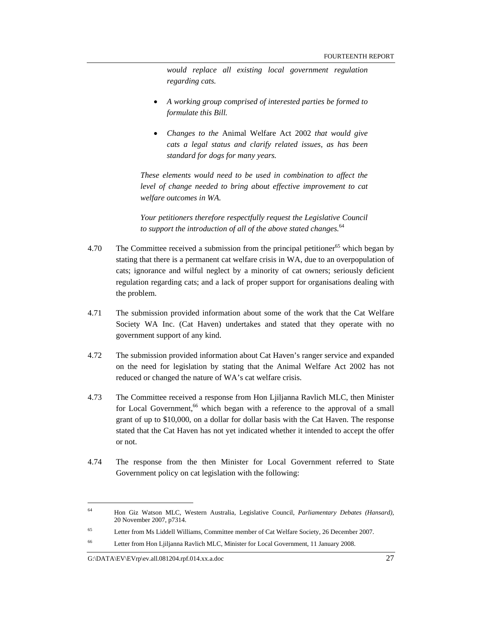*would replace all existing local government regulation regarding cats.* 

- *A working group comprised of interested parties be formed to formulate this Bill.*
- *Changes to the* Animal Welfare Act 2002 *that would give cats a legal status and clarify related issues, as has been standard for dogs for many years.*

*These elements would need to be used in combination to affect the level of change needed to bring about effective improvement to cat welfare outcomes in WA.* 

*Your petitioners therefore respectfully request the Legislative Council to support the introduction of all of the above stated changes.*<sup>64</sup>

- 4.70 The Committee received a submission from the principal petitioner<sup>65</sup> which began by stating that there is a permanent cat welfare crisis in WA, due to an overpopulation of cats; ignorance and wilful neglect by a minority of cat owners; seriously deficient regulation regarding cats; and a lack of proper support for organisations dealing with the problem.
- 4.71 The submission provided information about some of the work that the Cat Welfare Society WA Inc. (Cat Haven) undertakes and stated that they operate with no government support of any kind.
- 4.72 The submission provided information about Cat Haven's ranger service and expanded on the need for legislation by stating that the Animal Welfare Act 2002 has not reduced or changed the nature of WA's cat welfare crisis.
- 4.73 The Committee received a response from Hon Ljiljanna Ravlich MLC, then Minister for Local Government,<sup>66</sup> which began with a reference to the approval of a small grant of up to \$10,000, on a dollar for dollar basis with the Cat Haven. The response stated that the Cat Haven has not yet indicated whether it intended to accept the offer or not.
- 4.74 The response from the then Minister for Local Government referred to State Government policy on cat legislation with the following:

<sup>64</sup> Hon Giz Watson MLC, Western Australia, Legislative Council, *Parliamentary Debates (Hansard),*  20 November 2007, p7314.

<sup>65</sup> Letter from Ms Liddell Williams, Committee member of Cat Welfare Society, 26 December 2007.

<sup>66</sup> Letter from Hon Ljiljanna Ravlich MLC, Minister for Local Government, 11 January 2008.

G:\DATA\EV\EVrp\ev.all.081204.rpf.014.xx.a.doc 27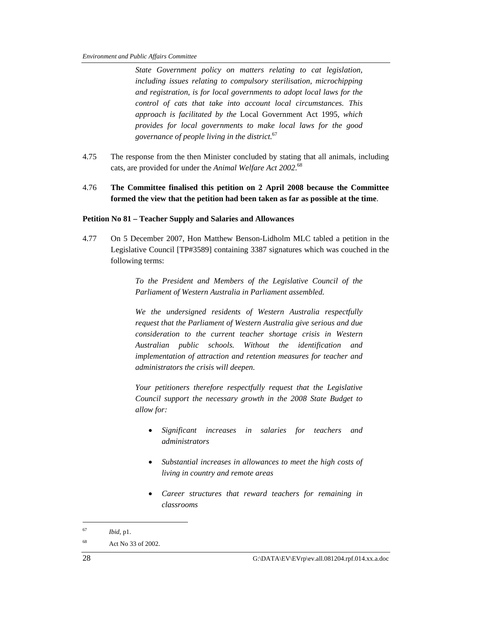*State Government policy on matters relating to cat legislation, including issues relating to compulsory sterilisation, microchipping and registration, is for local governments to adopt local laws for the control of cats that take into account local circumstances. This approach is facilitated by the* Local Government Act 1995*, which provides for local governments to make local laws for the good governance of people living in the district.*<sup>67</sup>

- 4.75 The response from the then Minister concluded by stating that all animals, including cats, are provided for under the *Animal Welfare Act 2002*. 68
- 4.76 **The Committee finalised this petition on 2 April 2008 because the Committee formed the view that the petition had been taken as far as possible at the time**.

## **Petition No 81 – Teacher Supply and Salaries and Allowances**

4.77 On 5 December 2007, Hon Matthew Benson-Lidholm MLC tabled a petition in the Legislative Council [TP#3589] containing 3387 signatures which was couched in the following terms:

> *To the President and Members of the Legislative Council of the Parliament of Western Australia in Parliament assembled.*

> *We the undersigned residents of Western Australia respectfully request that the Parliament of Western Australia give serious and due consideration to the current teacher shortage crisis in Western Australian public schools. Without the identification and implementation of attraction and retention measures for teacher and administrators the crisis will deepen.*

> *Your petitioners therefore respectfully request that the Legislative Council support the necessary growth in the 2008 State Budget to allow for:*

- *Significant increases in salaries for teachers and administrators*
- *Substantial increases in allowances to meet the high costs of living in country and remote areas*
- *Career structures that reward teachers for remaining in classrooms*

<sup>67</sup> *Ibid*, p1.

<sup>68</sup> Act No 33 of 2002.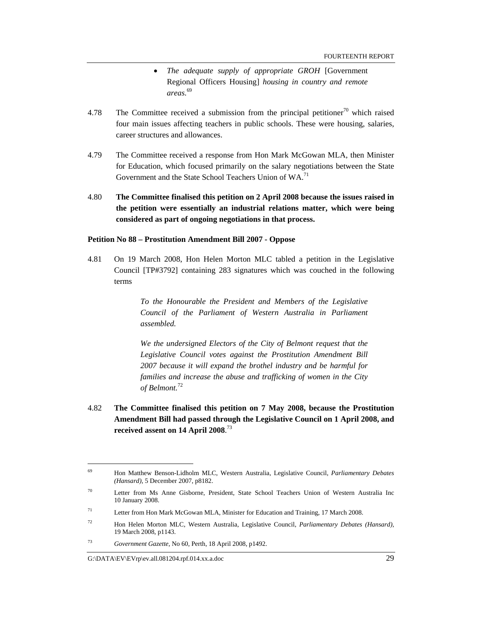- *The adequate supply of appropriate GROH* [Government Regional Officers Housing] *housing in country and remote areas.* 69
- 4.78 The Committee received a submission from the principal petitioner<sup>70</sup> which raised four main issues affecting teachers in public schools. These were housing, salaries, career structures and allowances.
- 4.79 The Committee received a response from Hon Mark McGowan MLA, then Minister for Education, which focused primarily on the salary negotiations between the State Government and the State School Teachers Union of WA.<sup>71</sup>
- 4.80 **The Committee finalised this petition on 2 April 2008 because the issues raised in the petition were essentially an industrial relations matter, which were being considered as part of ongoing negotiations in that process.**

## **Petition No 88 – Prostitution Amendment Bill 2007 - Oppose**

4.81 On 19 March 2008, Hon Helen Morton MLC tabled a petition in the Legislative Council [TP#3792] containing 283 signatures which was couched in the following terms

> *To the Honourable the President and Members of the Legislative Council of the Parliament of Western Australia in Parliament assembled.*

> *We the undersigned Electors of the City of Belmont request that the Legislative Council votes against the Prostitution Amendment Bill 2007 because it will expand the brothel industry and be harmful for families and increase the abuse and trafficking of women in the City of Belmont.*<sup>72</sup>

4.82 **The Committee finalised this petition on 7 May 2008, because the Prostitution Amendment Bill had passed through the Legislative Council on 1 April 2008, and received assent on 14 April 2008**. 73

<sup>69</sup> Hon Matthew Benson-Lidholm MLC, Western Australia, Legislative Council, *Parliamentary Debates (Hansard),* 5 December 2007, p8182.

<sup>70</sup> Letter from Ms Anne Gisborne, President, State School Teachers Union of Western Australia Inc 10 January 2008.

<sup>&</sup>lt;sup>71</sup> Letter from Hon Mark McGowan MLA, Minister for Education and Training, 17 March 2008.

<sup>72</sup> Hon Helen Morton MLC, Western Australia, Legislative Council, *Parliamentary Debates (Hansard),*  19 March 2008, p1143.

<sup>73</sup> *Government Gazette*, No 60, Perth, 18 April 2008, p1492.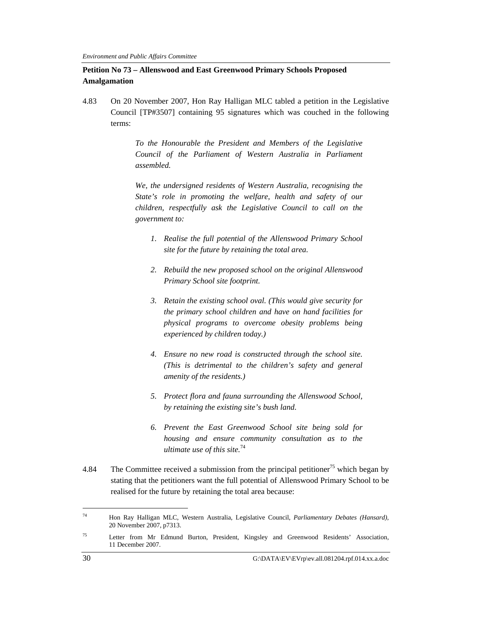## **Petition No 73 – Allenswood and East Greenwood Primary Schools Proposed Amalgamation**

4.83 On 20 November 2007, Hon Ray Halligan MLC tabled a petition in the Legislative Council [TP#3507] containing 95 signatures which was couched in the following terms:

> *To the Honourable the President and Members of the Legislative Council of the Parliament of Western Australia in Parliament assembled.*

> *We, the undersigned residents of Western Australia, recognising the State's role in promoting the welfare, health and safety of our children, respectfully ask the Legislative Council to call on the government to:*

- *1. Realise the full potential of the Allenswood Primary School site for the future by retaining the total area.*
- *2. Rebuild the new proposed school on the original Allenswood Primary School site footprint.*
- *3. Retain the existing school oval. (This would give security for the primary school children and have on hand facilities for physical programs to overcome obesity problems being experienced by children today.)*
- *4. Ensure no new road is constructed through the school site. (This is detrimental to the children's safety and general amenity of the residents.)*
- *5. Protect flora and fauna surrounding the Allenswood School, by retaining the existing site's bush land.*
- *6. Prevent the East Greenwood School site being sold for housing and ensure community consultation as to the ultimate use of this site.*<sup>74</sup>
- 4.84 The Committee received a submission from the principal petitioner<sup>75</sup> which began by stating that the petitioners want the full potential of Allenswood Primary School to be realised for the future by retaining the total area because:

<sup>74</sup> Hon Ray Halligan MLC, Western Australia, Legislative Council, *Parliamentary Debates (Hansard),*  20 November 2007, p7313.

<sup>75</sup> Letter from Mr Edmund Burton, President, Kingsley and Greenwood Residents' Association, 11 December 2007.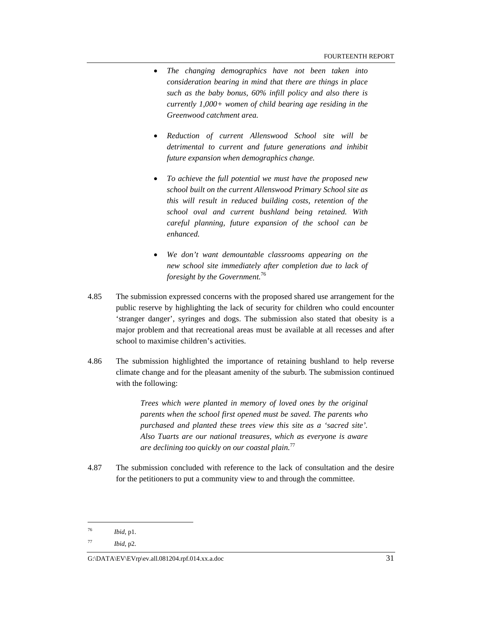- *The changing demographics have not been taken into consideration bearing in mind that there are things in place such as the baby bonus, 60% infill policy and also there is currently 1,000+ women of child bearing age residing in the Greenwood catchment area.*
- *Reduction of current Allenswood School site will be detrimental to current and future generations and inhibit future expansion when demographics change.*
- *To achieve the full potential we must have the proposed new school built on the current Allenswood Primary School site as this will result in reduced building costs, retention of the school oval and current bushland being retained. With careful planning, future expansion of the school can be enhanced.*
- *We don't want demountable classrooms appearing on the new school site immediately after completion due to lack of foresight by the Government.*<sup>76</sup>
- 4.85 The submission expressed concerns with the proposed shared use arrangement for the public reserve by highlighting the lack of security for children who could encounter 'stranger danger', syringes and dogs. The submission also stated that obesity is a major problem and that recreational areas must be available at all recesses and after school to maximise children's activities.
- 4.86 The submission highlighted the importance of retaining bushland to help reverse climate change and for the pleasant amenity of the suburb. The submission continued with the following:

*Trees which were planted in memory of loved ones by the original parents when the school first opened must be saved. The parents who purchased and planted these trees view this site as a 'sacred site'. Also Tuarts are our national treasures, which as everyone is aware are declining too quickly on our coastal plain.*<sup>77</sup>

4.87 The submission concluded with reference to the lack of consultation and the desire for the petitioners to put a community view to and through the committee.

<sup>76</sup> *Ibid*, p1.

<sup>77</sup> *Ibid*, p2.

G:\DATA\EV\EVrp\ev.all.081204.rpf.014.xx.a.doc 31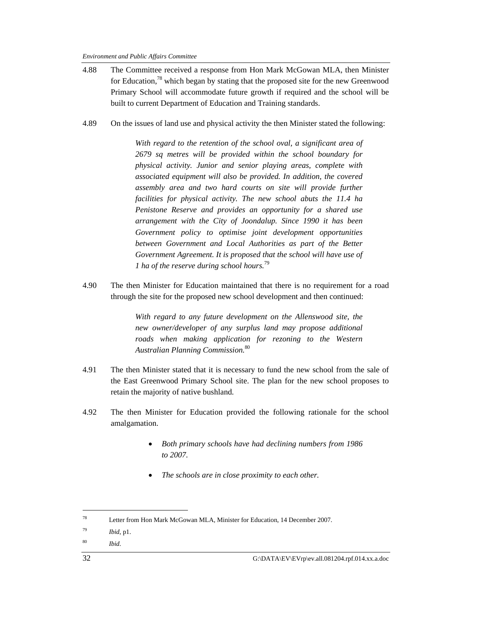- 4.88 The Committee received a response from Hon Mark McGowan MLA, then Minister for Education,<sup>78</sup> which began by stating that the proposed site for the new Greenwood Primary School will accommodate future growth if required and the school will be built to current Department of Education and Training standards.
- 4.89 On the issues of land use and physical activity the then Minister stated the following:

*With regard to the retention of the school oval, a significant area of 2679 sq metres will be provided within the school boundary for physical activity. Junior and senior playing areas, complete with associated equipment will also be provided. In addition, the covered assembly area and two hard courts on site will provide further facilities for physical activity. The new school abuts the 11.4 ha Penistone Reserve and provides an opportunity for a shared use arrangement with the City of Joondalup. Since 1990 it has been Government policy to optimise joint development opportunities between Government and Local Authorities as part of the Better Government Agreement. It is proposed that the school will have use of 1 ha of the reserve during school hours.*<sup>79</sup>

4.90 The then Minister for Education maintained that there is no requirement for a road through the site for the proposed new school development and then continued:

> *With regard to any future development on the Allenswood site, the new owner/developer of any surplus land may propose additional roads when making application for rezoning to the Western Australian Planning Commission.*<sup>80</sup>

- 4.91 The then Minister stated that it is necessary to fund the new school from the sale of the East Greenwood Primary School site. The plan for the new school proposes to retain the majority of native bushland.
- 4.92 The then Minister for Education provided the following rationale for the school amalgamation.
	- *Both primary schools have had declining numbers from 1986 to 2007.*
	- *The schools are in close proximity to each other.*

80 *Ibid*.

<sup>78</sup> Letter from Hon Mark McGowan MLA, Minister for Education, 14 December 2007.

<sup>79</sup> *Ibid*, p1.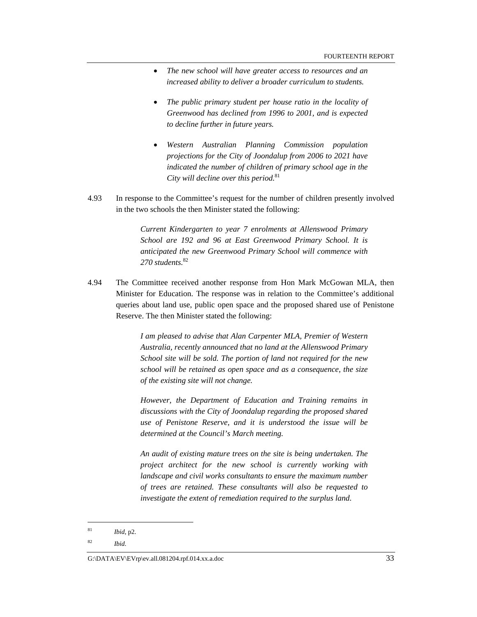- *The new school will have greater access to resources and an increased ability to deliver a broader curriculum to students.*
- *The public primary student per house ratio in the locality of Greenwood has declined from 1996 to 2001, and is expected to decline further in future years.*
- *Western Australian Planning Commission population projections for the City of Joondalup from 2006 to 2021 have indicated the number of children of primary school age in the City will decline over this period.*<sup>81</sup>
- 4.93 In response to the Committee's request for the number of children presently involved in the two schools the then Minister stated the following:

*Current Kindergarten to year 7 enrolments at Allenswood Primary School are 192 and 96 at East Greenwood Primary School. It is anticipated the new Greenwood Primary School will commence with 270 students.*<sup>82</sup>

4.94 The Committee received another response from Hon Mark McGowan MLA, then Minister for Education. The response was in relation to the Committee's additional queries about land use, public open space and the proposed shared use of Penistone Reserve. The then Minister stated the following:

> *I am pleased to advise that Alan Carpenter MLA, Premier of Western Australia, recently announced that no land at the Allenswood Primary School site will be sold. The portion of land not required for the new school will be retained as open space and as a consequence, the size of the existing site will not change.*

> *However, the Department of Education and Training remains in discussions with the City of Joondalup regarding the proposed shared use of Penistone Reserve, and it is understood the issue will be determined at the Council's March meeting.*

> *An audit of existing mature trees on the site is being undertaken. The project architect for the new school is currently working with landscape and civil works consultants to ensure the maximum number of trees are retained. These consultants will also be requested to investigate the extent of remediation required to the surplus land.*

<sup>81</sup> *Ibid*, p2.

<sup>82</sup> *Ibid*.

G:\DATA\EV\EVrp\ev.all.081204.rpf.014.xx.a.doc 33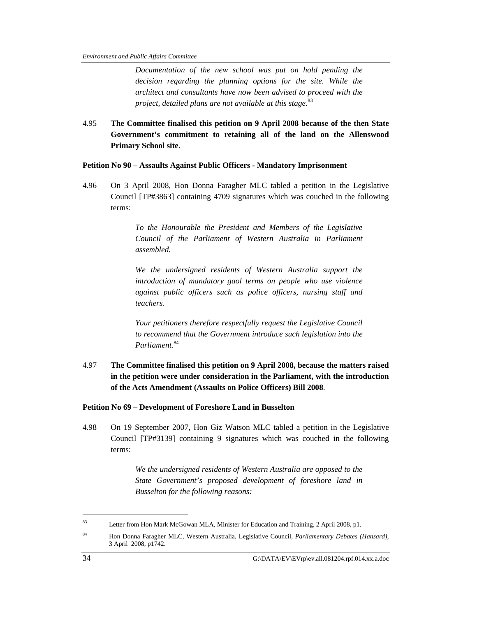*Documentation of the new school was put on hold pending the decision regarding the planning options for the site. While the architect and consultants have now been advised to proceed with the project, detailed plans are not available at this stage.*<sup>83</sup>

4.95 **The Committee finalised this petition on 9 April 2008 because of the then State Government's commitment to retaining all of the land on the Allenswood Primary School site**.

**Petition No 90 – Assaults Against Public Officers - Mandatory Imprisonment** 

4.96 On 3 April 2008, Hon Donna Faragher MLC tabled a petition in the Legislative Council [TP#3863] containing 4709 signatures which was couched in the following terms:

> *To the Honourable the President and Members of the Legislative Council of the Parliament of Western Australia in Parliament assembled.*

> *We the undersigned residents of Western Australia support the introduction of mandatory gaol terms on people who use violence against public officers such as police officers, nursing staff and teachers.*

> *Your petitioners therefore respectfully request the Legislative Council to recommend that the Government introduce such legislation into the Parliament.*<sup>84</sup>

4.97 **The Committee finalised this petition on 9 April 2008, because the matters raised in the petition were under consideration in the Parliament, with the introduction of the Acts Amendment (Assaults on Police Officers) Bill 2008**.

**Petition No 69 – Development of Foreshore Land in Busselton** 

4.98 On 19 September 2007, Hon Giz Watson MLC tabled a petition in the Legislative Council [TP#3139] containing 9 signatures which was couched in the following terms:

> *We the undersigned residents of Western Australia are opposed to the State Government's proposed development of foreshore land in Busselton for the following reasons:*

<sup>83</sup> Letter from Hon Mark McGowan MLA, Minister for Education and Training, 2 April 2008, p1.

<sup>84</sup> Hon Donna Faragher MLC, Western Australia, Legislative Council, *Parliamentary Debates (Hansard),*  3 April 2008, p1742.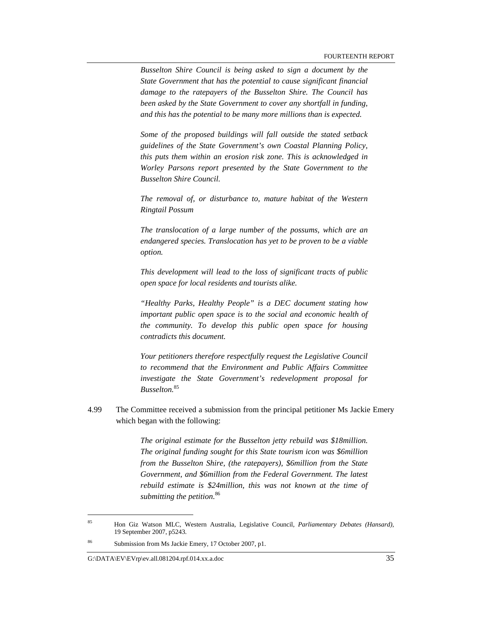*Busselton Shire Council is being asked to sign a document by the State Government that has the potential to cause significant financial damage to the ratepayers of the Busselton Shire. The Council has been asked by the State Government to cover any shortfall in funding, and this has the potential to be many more millions than is expected.* 

*Some of the proposed buildings will fall outside the stated setback guidelines of the State Government's own Coastal Planning Policy, this puts them within an erosion risk zone. This is acknowledged in Worley Parsons report presented by the State Government to the Busselton Shire Council.* 

*The removal of, or disturbance to, mature habitat of the Western Ringtail Possum* 

*The translocation of a large number of the possums, which are an endangered species. Translocation has yet to be proven to be a viable option.* 

*This development will lead to the loss of significant tracts of public open space for local residents and tourists alike.* 

*"Healthy Parks, Healthy People" is a DEC document stating how important public open space is to the social and economic health of the community. To develop this public open space for housing contradicts this document.* 

*Your petitioners therefore respectfully request the Legislative Council to recommend that the Environment and Public Affairs Committee investigate the State Government's redevelopment proposal for Busselton.*<sup>85</sup>

4.99 The Committee received a submission from the principal petitioner Ms Jackie Emery which began with the following:

> *The original estimate for the Busselton jetty rebuild was \$18million. The original funding sought for this State tourism icon was \$6million from the Busselton Shire, (the ratepayers), \$6million from the State Government, and \$6million from the Federal Government. The latest rebuild estimate is \$24million, this was not known at the time of submitting the petition.*<sup>86</sup>

<sup>85</sup> Hon Giz Watson MLC, Western Australia, Legislative Council, *Parliamentary Debates (Hansard),*  19 September 2007, p5243.

<sup>86</sup> Submission from Ms Jackie Emery, 17 October 2007, p1.

G:\DATA\EV\EVrp\ev.all.081204.rpf.014.xx.a.doc 35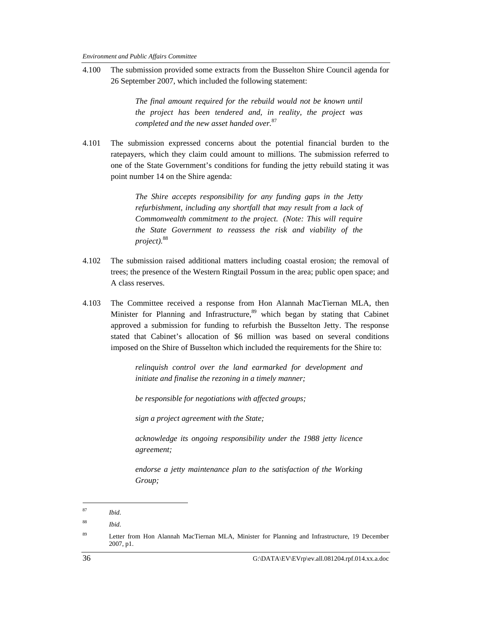4.100 The submission provided some extracts from the Busselton Shire Council agenda for 26 September 2007, which included the following statement:

> *The final amount required for the rebuild would not be known until the project has been tendered and, in reality, the project was completed and the new asset handed over.*<sup>87</sup>

4.101 The submission expressed concerns about the potential financial burden to the ratepayers, which they claim could amount to millions. The submission referred to one of the State Government's conditions for funding the jetty rebuild stating it was point number 14 on the Shire agenda:

> *The Shire accepts responsibility for any funding gaps in the Jetty refurbishment, including any shortfall that may result from a lack of Commonwealth commitment to the project. (Note: This will require the State Government to reassess the risk and viability of the project).*<sup>88</sup>

- 4.102 The submission raised additional matters including coastal erosion; the removal of trees; the presence of the Western Ringtail Possum in the area; public open space; and A class reserves.
- 4.103 The Committee received a response from Hon Alannah MacTiernan MLA, then Minister for Planning and Infrastructure,<sup>89</sup> which began by stating that Cabinet approved a submission for funding to refurbish the Busselton Jetty. The response stated that Cabinet's allocation of \$6 million was based on several conditions imposed on the Shire of Busselton which included the requirements for the Shire to:

*relinquish control over the land earmarked for development and initiate and finalise the rezoning in a timely manner;* 

*be responsible for negotiations with affected groups;* 

*sign a project agreement with the State;* 

*acknowledge its ongoing responsibility under the 1988 jetty licence agreement;* 

*endorse a jetty maintenance plan to the satisfaction of the Working Group;* 

<sup>87</sup> *Ibid*.

<sup>88</sup> *Ibid*.

<sup>&</sup>lt;sup>89</sup> Letter from Hon Alannah MacTiernan MLA, Minister for Planning and Infrastructure, 19 December 2007, p1.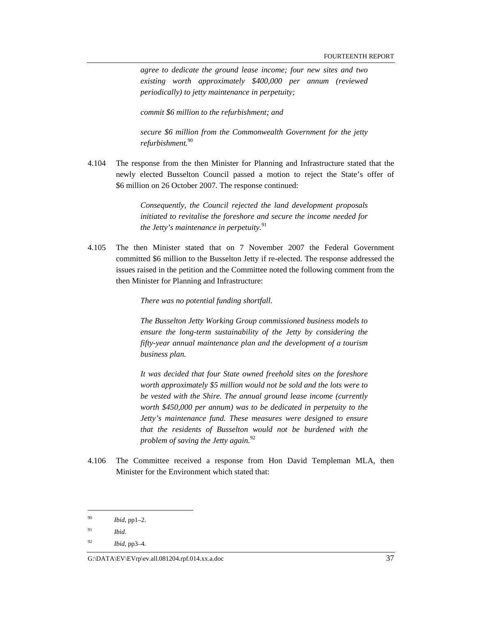*agree to dedicate the ground lease income; four new sites and two existing worth approximately \$400,000 per annum (reviewed periodically) to jetty maintenance in perpetuity;* 

*commit \$6 million to the refurbishment; and* 

*secure \$6 million from the Commonwealth Government for the jetty refurbishment.*<sup>90</sup>

4.104 The response from the then Minister for Planning and Infrastructure stated that the newly elected Busselton Council passed a motion to reject the State's offer of \$6 million on 26 October 2007. The response continued:

> *Consequently, the Council rejected the land development proposals initiated to revitalise the foreshore and secure the income needed for the Jetty's maintenance in perpetuity.*<sup>91</sup>

4.105 The then Minister stated that on 7 November 2007 the Federal Government committed \$6 million to the Busselton Jetty if re-elected. The response addressed the issues raised in the petition and the Committee noted the following comment from the then Minister for Planning and Infrastructure:

*There was no potential funding shortfall.* 

*The Busselton Jetty Working Group commissioned business models to ensure the long-term sustainability of the Jetty by considering the fifty-year annual maintenance plan and the development of a tourism business plan.* 

*It was decided that four State owned freehold sites on the foreshore worth approximately \$5 million would not be sold and the lots were to be vested with the Shire. The annual ground lease income (currently worth \$450,000 per annum) was to be dedicated in perpetuity to the Jetty's maintenance fund. These measures were designed to ensure that the residents of Busselton would not be burdened with the problem of saving the Jetty again.*<sup>92</sup>

4.106 The Committee received a response from Hon David Templeman MLA, then Minister for the Environment which stated that:

<sup>90</sup> *Ibid*, pp1–2.

<sup>91</sup> *Ibid*.

<sup>92</sup> *Ibid*, pp3–4.

G:\DATA\EV\EVrp\ev.all.081204.rpf.014.xx.a.doc 37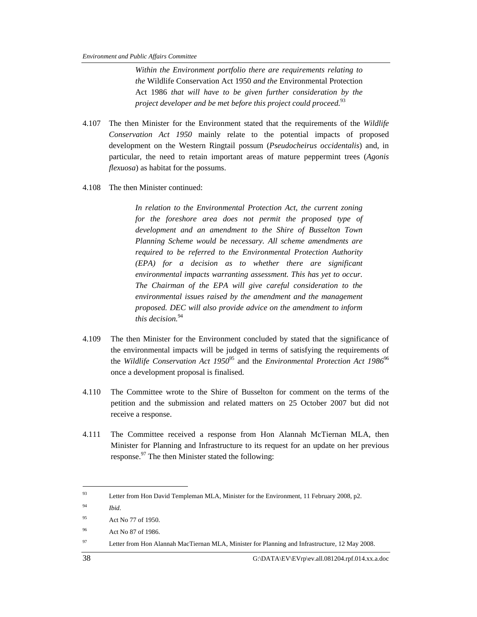*Within the Environment portfolio there are requirements relating to the* Wildlife Conservation Act 1950 *and the* Environmental Protection Act 1986 *that will have to be given further consideration by the project developer and be met before this project could proceed.*<sup>93</sup>

- 4.107 The then Minister for the Environment stated that the requirements of the *Wildlife Conservation Act 1950* mainly relate to the potential impacts of proposed development on the Western Ringtail possum (*Pseudocheirus occidentalis*) and, in particular, the need to retain important areas of mature peppermint trees (*Agonis flexuosa*) as habitat for the possums.
- 4.108 The then Minister continued:

*In relation to the Environmental Protection Act, the current zoning for the foreshore area does not permit the proposed type of development and an amendment to the Shire of Busselton Town Planning Scheme would be necessary. All scheme amendments are required to be referred to the Environmental Protection Authority (EPA) for a decision as to whether there are significant environmental impacts warranting assessment. This has yet to occur. The Chairman of the EPA will give careful consideration to the environmental issues raised by the amendment and the management proposed. DEC will also provide advice on the amendment to inform this decision.*<sup>94</sup>

- 4.109 The then Minister for the Environment concluded by stated that the significance of the environmental impacts will be judged in terms of satisfying the requirements of the *Wildlife Conservation Act 1950*95 and the *Environmental Protection Act 1986*<sup>96</sup> once a development proposal is finalised.
- 4.110 The Committee wrote to the Shire of Busselton for comment on the terms of the petition and the submission and related matters on 25 October 2007 but did not receive a response.
- 4.111 The Committee received a response from Hon Alannah McTiernan MLA, then Minister for Planning and Infrastructure to its request for an update on her previous response. $97$  The then Minister stated the following:

<sup>&</sup>lt;sup>93</sup> Letter from Hon David Templeman MLA, Minister for the Environment, 11 February 2008, p2.

<sup>94</sup> *Ibid*.

<sup>95</sup> Act No 77 of 1950.

<sup>96</sup> Act No 87 of 1986.

<sup>&</sup>lt;sup>97</sup> Letter from Hon Alannah MacTiernan MLA, Minister for Planning and Infrastructure, 12 May 2008.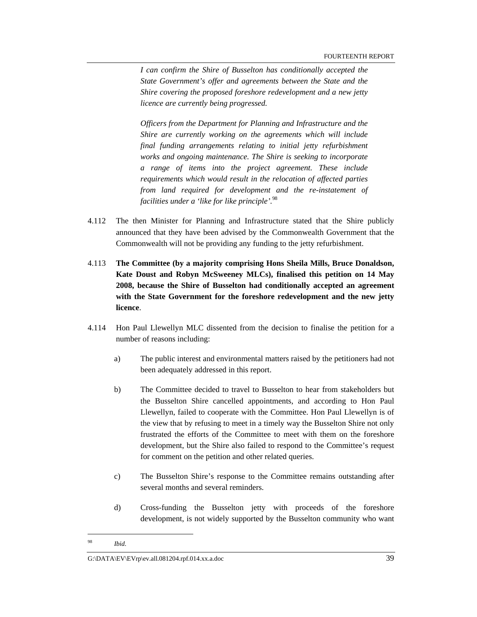FOURTEENTH REPORT

*I can confirm the Shire of Busselton has conditionally accepted the State Government's offer and agreements between the State and the Shire covering the proposed foreshore redevelopment and a new jetty licence are currently being progressed.* 

*Officers from the Department for Planning and Infrastructure and the Shire are currently working on the agreements which will include final funding arrangements relating to initial jetty refurbishment works and ongoing maintenance. The Shire is seeking to incorporate a range of items into the project agreement. These include requirements which would result in the relocation of affected parties from land required for development and the re-instatement of facilities under a 'like for like principle'.*<sup>98</sup>

- 4.112 The then Minister for Planning and Infrastructure stated that the Shire publicly announced that they have been advised by the Commonwealth Government that the Commonwealth will not be providing any funding to the jetty refurbishment.
- 4.113 **The Committee (by a majority comprising Hons Sheila Mills, Bruce Donaldson, Kate Doust and Robyn McSweeney MLCs), finalised this petition on 14 May 2008, because the Shire of Busselton had conditionally accepted an agreement with the State Government for the foreshore redevelopment and the new jetty licence**.
- 4.114 Hon Paul Llewellyn MLC dissented from the decision to finalise the petition for a number of reasons including:
	- a) The public interest and environmental matters raised by the petitioners had not been adequately addressed in this report.
	- b) The Committee decided to travel to Busselton to hear from stakeholders but the Busselton Shire cancelled appointments, and according to Hon Paul Llewellyn, failed to cooperate with the Committee. Hon Paul Llewellyn is of the view that by refusing to meet in a timely way the Busselton Shire not only frustrated the efforts of the Committee to meet with them on the foreshore development, but the Shire also failed to respond to the Committee's request for comment on the petition and other related queries.
	- c) The Busselton Shire's response to the Committee remains outstanding after several months and several reminders.
	- d) Cross-funding the Busselton jetty with proceeds of the foreshore development, is not widely supported by the Busselton community who want

<sup>98</sup> *Ibid*.

G:\DATA\EV\EVrp\ev.all.081204.rpf.014.xx.a.doc 39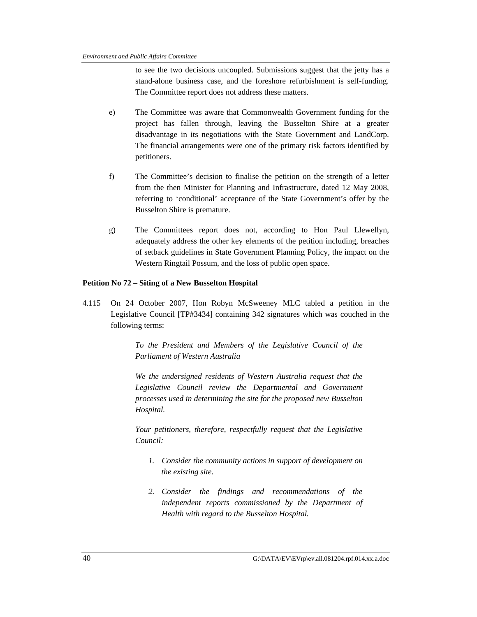to see the two decisions uncoupled. Submissions suggest that the jetty has a stand-alone business case, and the foreshore refurbishment is self-funding. The Committee report does not address these matters.

- e) The Committee was aware that Commonwealth Government funding for the project has fallen through, leaving the Busselton Shire at a greater disadvantage in its negotiations with the State Government and LandCorp. The financial arrangements were one of the primary risk factors identified by petitioners.
- f) The Committee's decision to finalise the petition on the strength of a letter from the then Minister for Planning and Infrastructure, dated 12 May 2008, referring to 'conditional' acceptance of the State Government's offer by the Busselton Shire is premature.
- g) The Committees report does not, according to Hon Paul Llewellyn, adequately address the other key elements of the petition including, breaches of setback guidelines in State Government Planning Policy, the impact on the Western Ringtail Possum, and the loss of public open space.

## **Petition No 72 – Siting of a New Busselton Hospital**

4.115 On 24 October 2007, Hon Robyn McSweeney MLC tabled a petition in the Legislative Council [TP#3434] containing 342 signatures which was couched in the following terms:

> *To the President and Members of the Legislative Council of the Parliament of Western Australia*

> *We the undersigned residents of Western Australia request that the Legislative Council review the Departmental and Government processes used in determining the site for the proposed new Busselton Hospital.*

> *Your petitioners, therefore, respectfully request that the Legislative Council:*

- *1. Consider the community actions in support of development on the existing site.*
- *2. Consider the findings and recommendations of the independent reports commissioned by the Department of Health with regard to the Busselton Hospital.*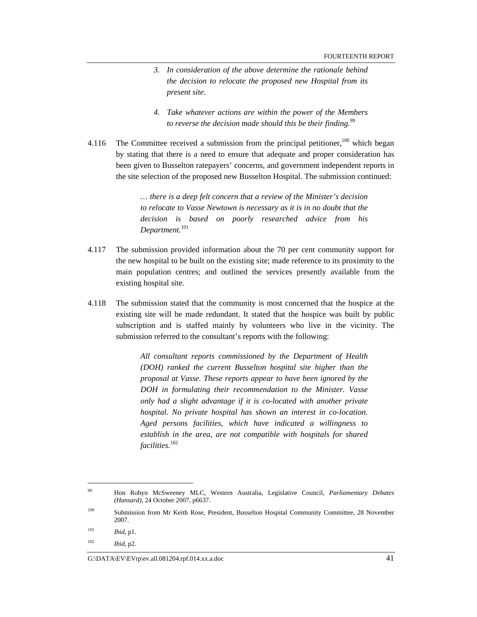- *3. In consideration of the above determine the rationale behind the decision to relocate the proposed new Hospital from its present site.*
- *4. Take whatever actions are within the power of the Members to reverse the decision made should this be their finding.*<sup>99</sup>
- 4.116 The Committee received a submission from the principal petitioner,  $100$  which began by stating that there is a need to ensure that adequate and proper consideration has been given to Busselton ratepayers' concerns, and government independent reports in the site selection of the proposed new Busselton Hospital. The submission continued:

*… there is a deep felt concern that a review of the Minister's decision to relocate to Vasse Newtown is necessary as it is in no doubt that the decision is based on poorly researched advice from his Department.*<sup>101</sup>

- 4.117 The submission provided information about the 70 per cent community support for the new hospital to be built on the existing site; made reference to its proximity to the main population centres; and outlined the services presently available from the existing hospital site.
- 4.118 The submission stated that the community is most concerned that the hospice at the existing site will be made redundant. It stated that the hospice was built by public subscription and is staffed mainly by volunteers who live in the vicinity. The submission referred to the consultant's reports with the following:

*All consultant reports commissioned by the Department of Health (DOH) ranked the current Busselton hospital site higher than the proposal at Vasse. These reports appear to have been ignored by the DOH in formulating their recommendation to the Minister. Vasse only had a slight advantage if it is co-located with another private hospital. No private hospital has shown an interest in co-location. Aged persons facilities, which have indicated a willingness to establish in the area, are not compatible with hospitals for shared facilities.*<sup>102</sup>

<sup>99</sup> Hon Robyn McSweeney MLC, Western Australia, Legislative Council, *Parliamentary Debates (Hansard),* 24 October 2007, p6637.

<sup>100</sup> Submission from Mr Keith Rose, President, Busselton Hospital Community Committee, 28 November 2007.

<sup>101</sup> *Ibid*, p1.

<sup>102</sup> *Ibid*, p2.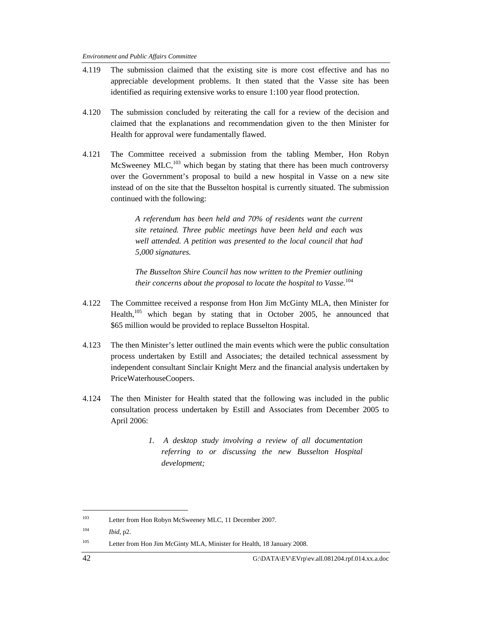- 4.119 The submission claimed that the existing site is more cost effective and has no appreciable development problems. It then stated that the Vasse site has been identified as requiring extensive works to ensure 1:100 year flood protection.
- 4.120 The submission concluded by reiterating the call for a review of the decision and claimed that the explanations and recommendation given to the then Minister for Health for approval were fundamentally flawed.
- 4.121 The Committee received a submission from the tabling Member, Hon Robyn McSweeney MLC, $^{103}$  which began by stating that there has been much controversy over the Government's proposal to build a new hospital in Vasse on a new site instead of on the site that the Busselton hospital is currently situated. The submission continued with the following:

*A referendum has been held and 70% of residents want the current site retained. Three public meetings have been held and each was well attended. A petition was presented to the local council that had 5,000 signatures.* 

*The Busselton Shire Council has now written to the Premier outlining their concerns about the proposal to locate the hospital to Vasse.*<sup>104</sup>

- 4.122 The Committee received a response from Hon Jim McGinty MLA, then Minister for Health,<sup>105</sup> which began by stating that in October 2005, he announced that \$65 million would be provided to replace Busselton Hospital.
- 4.123 The then Minister's letter outlined the main events which were the public consultation process undertaken by Estill and Associates; the detailed technical assessment by independent consultant Sinclair Knight Merz and the financial analysis undertaken by PriceWaterhouseCoopers.
- 4.124 The then Minister for Health stated that the following was included in the public consultation process undertaken by Estill and Associates from December 2005 to April 2006:
	- *1. A desktop study involving a review of all documentation referring to or discussing the new Busselton Hospital development;*

<sup>105</sup> Letter from Hon Jim McGinty MLA, Minister for Health, 18 January 2008.

<sup>103</sup> Letter from Hon Robyn McSweeney MLC, 11 December 2007.

<sup>104</sup> *Ibid*, p2.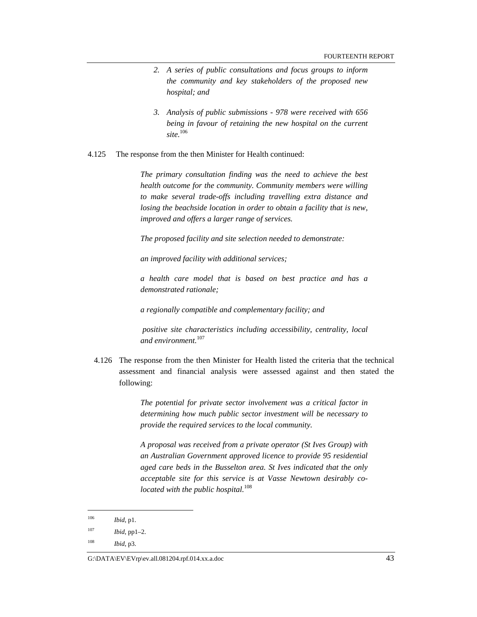- *2. A series of public consultations and focus groups to inform the community and key stakeholders of the proposed new hospital; and*
- *3. Analysis of public submissions 978 were received with 656 being in favour of retaining the new hospital on the current site.*<sup>106</sup>
- 4.125 The response from the then Minister for Health continued:

*The primary consultation finding was the need to achieve the best health outcome for the community. Community members were willing to make several trade-offs including travelling extra distance and losing the beachside location in order to obtain a facility that is new, improved and offers a larger range of services.* 

*The proposed facility and site selection needed to demonstrate:* 

*an improved facility with additional services;* 

*a health care model that is based on best practice and has a demonstrated rationale;* 

*a regionally compatible and complementary facility; and* 

 *positive site characteristics including accessibility, centrality, local and environment.*<sup>107</sup>

4.126 The response from the then Minister for Health listed the criteria that the technical assessment and financial analysis were assessed against and then stated the following:

> *The potential for private sector involvement was a critical factor in determining how much public sector investment will be necessary to provide the required services to the local community.*

> *A proposal was received from a private operator (St Ives Group) with an Australian Government approved licence to provide 95 residential aged care beds in the Busselton area. St Ives indicated that the only acceptable site for this service is at Vasse Newtown desirably colocated with the public hospital.*<sup>108</sup>

<sup>106</sup> *Ibid*, p1.

<sup>107</sup> *Ibid*, pp1–2.

<sup>108</sup> *Ibid*, p3.

G:\DATA\EV\EVrp\ev.all.081204.rpf.014.xx.a.doc 43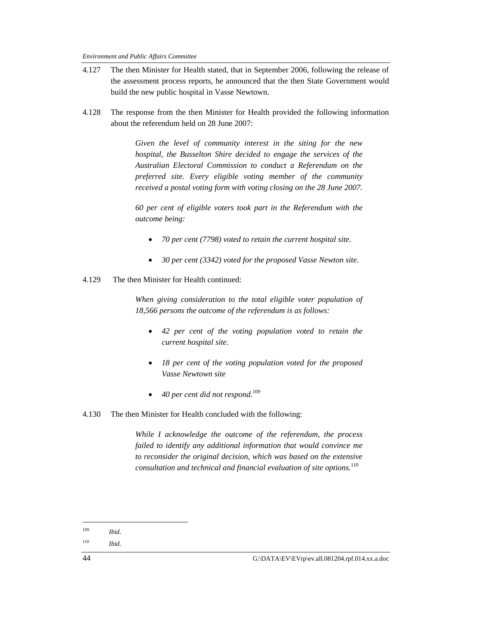- 4.127 The then Minister for Health stated, that in September 2006, following the release of the assessment process reports, he announced that the then State Government would build the new public hospital in Vasse Newtown.
- 4.128 The response from the then Minister for Health provided the following information about the referendum held on 28 June 2007:

*Given the level of community interest in the siting for the new hospital, the Busselton Shire decided to engage the services of the Australian Electoral Commission to conduct a Referendum on the preferred site. Every eligible voting member of the community received a postal voting form with voting closing on the 28 June 2007.* 

*60 per cent of eligible voters took part in the Referendum with the outcome being:* 

- *70 per cent (7798) voted to retain the current hospital site.*
- *30 per cent (3342) voted for the proposed Vasse Newton site.*

#### 4.129 The then Minister for Health continued:

*When giving consideration to the total eligible voter population of 18,566 persons the outcome of the referendum is as follows:* 

- *42 per cent of the voting population voted to retain the current hospital site.*
- *18 per cent of the voting population voted for the proposed Vasse Newtown site*
- *40 per cent did not respond.*<sup>109</sup>
- 4.130 The then Minister for Health concluded with the following:

*While I acknowledge the outcome of the referendum, the process*  failed to identify any additional information that would convince me *to reconsider the original decision, which was based on the extensive consultation and technical and financial evaluation of site options.*<sup>110</sup>

110 *Ibid*.

<sup>109</sup> *Ibid*.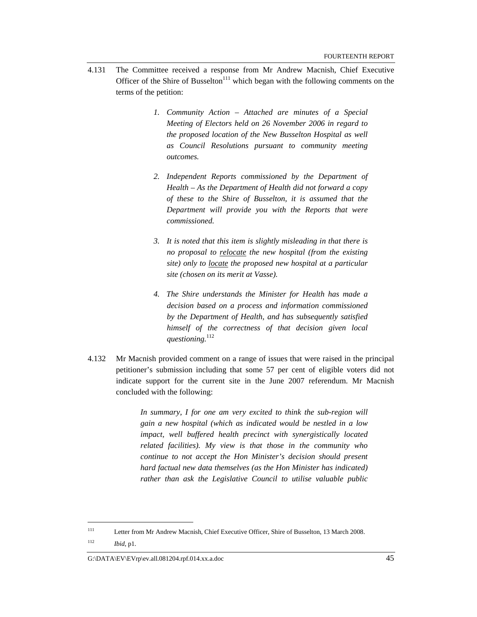- 4.131 The Committee received a response from Mr Andrew Macnish, Chief Executive Officer of the Shire of Busselton<sup>111</sup> which began with the following comments on the terms of the petition:
	- *1. Community Action Attached are minutes of a Special Meeting of Electors held on 26 November 2006 in regard to the proposed location of the New Busselton Hospital as well as Council Resolutions pursuant to community meeting outcomes.*
	- *2. Independent Reports commissioned by the Department of Health – As the Department of Health did not forward a copy of these to the Shire of Busselton, it is assumed that the Department will provide you with the Reports that were commissioned.*
	- *3. It is noted that this item is slightly misleading in that there is no proposal to relocate the new hospital (from the existing site) only to locate the proposed new hospital at a particular site (chosen on its merit at Vasse).*
	- *4. The Shire understands the Minister for Health has made a decision based on a process and information commissioned by the Department of Health, and has subsequently satisfied himself of the correctness of that decision given local questioning.*<sup>112</sup>
- 4.132 Mr Macnish provided comment on a range of issues that were raised in the principal petitioner's submission including that some 57 per cent of eligible voters did not indicate support for the current site in the June 2007 referendum. Mr Macnish concluded with the following:

*In summary, I for one am very excited to think the sub-region will gain a new hospital (which as indicated would be nestled in a low impact, well buffered health precinct with synergistically located related facilities). My view is that those in the community who continue to not accept the Hon Minister's decision should present hard factual new data themselves (as the Hon Minister has indicated) rather than ask the Legislative Council to utilise valuable public* 

G:\DATA\EV\EVrp\ev.all.081204.rpf.014.xx.a.doc 45

<sup>111</sup> Letter from Mr Andrew Macnish, Chief Executive Officer, Shire of Busselton, 13 March 2008. 112 *Ibid*, p1.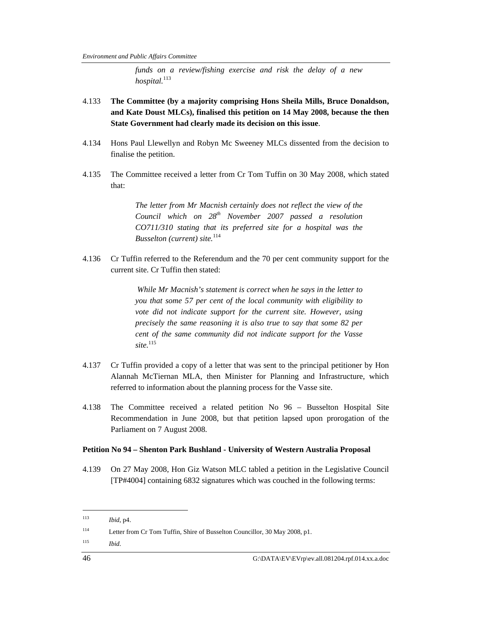*funds on a review/fishing exercise and risk the delay of a new hospital.*<sup>113</sup>

- 4.133 **The Committee (by a majority comprising Hons Sheila Mills, Bruce Donaldson, and Kate Doust MLCs), finalised this petition on 14 May 2008, because the then State Government had clearly made its decision on this issue**.
- 4.134 Hons Paul Llewellyn and Robyn Mc Sweeney MLCs dissented from the decision to finalise the petition.
- 4.135 The Committee received a letter from Cr Tom Tuffin on 30 May 2008, which stated that:

*The letter from Mr Macnish certainly does not reflect the view of the Council which on 28th November 2007 passed a resolution CO711/310 stating that its preferred site for a hospital was the Busselton (current) site.*<sup>114</sup>

4.136 Cr Tuffin referred to the Referendum and the 70 per cent community support for the current site. Cr Tuffin then stated:

> *While Mr Macnish's statement is correct when he says in the letter to you that some 57 per cent of the local community with eligibility to vote did not indicate support for the current site. However, using precisely the same reasoning it is also true to say that some 82 per cent of the same community did not indicate support for the Vasse site.*<sup>115</sup>

- 4.137 Cr Tuffin provided a copy of a letter that was sent to the principal petitioner by Hon Alannah McTiernan MLA, then Minister for Planning and Infrastructure, which referred to information about the planning process for the Vasse site.
- 4.138 The Committee received a related petition No 96 Busselton Hospital Site Recommendation in June 2008, but that petition lapsed upon prorogation of the Parliament on 7 August 2008.

## **Petition No 94 – Shenton Park Bushland - University of Western Australia Proposal**

4.139 On 27 May 2008, Hon Giz Watson MLC tabled a petition in the Legislative Council [TP#4004] containing 6832 signatures which was couched in the following terms:

<sup>113</sup> *Ibid*, p4.

<sup>114</sup> Letter from Cr Tom Tuffin, Shire of Busselton Councillor, 30 May 2008, p1.

<sup>115</sup> *Ibid*.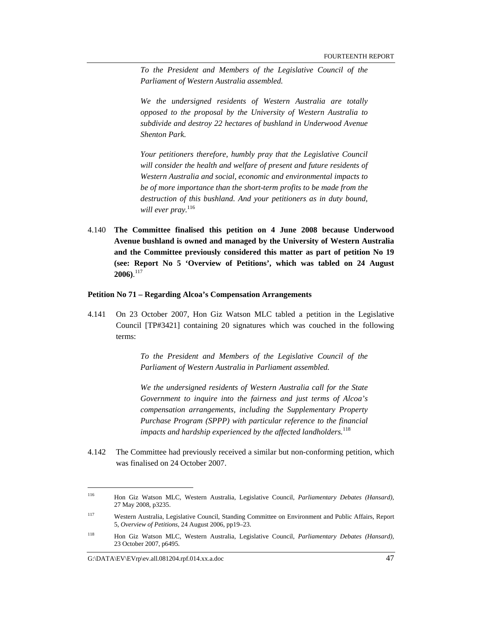*To the President and Members of the Legislative Council of the Parliament of Western Australia assembled.* 

*We the undersigned residents of Western Australia are totally opposed to the proposal by the University of Western Australia to subdivide and destroy 22 hectares of bushland in Underwood Avenue Shenton Park.* 

*Your petitioners therefore, humbly pray that the Legislative Council will consider the health and welfare of present and future residents of Western Australia and social, economic and environmental impacts to be of more importance than the short-term profits to be made from the destruction of this bushland. And your petitioners as in duty bound, will ever pray.*<sup>116</sup>

4.140 **The Committee finalised this petition on 4 June 2008 because Underwood Avenue bushland is owned and managed by the University of Western Australia and the Committee previously considered this matter as part of petition No 19 (see: Report No 5 'Overview of Petitions', which was tabled on 24 August 2006)**. 117

#### **Petition No 71 – Regarding Alcoa's Compensation Arrangements**

4.141 On 23 October 2007, Hon Giz Watson MLC tabled a petition in the Legislative Council [TP#3421] containing 20 signatures which was couched in the following terms:

> *To the President and Members of the Legislative Council of the Parliament of Western Australia in Parliament assembled.*

> *We the undersigned residents of Western Australia call for the State Government to inquire into the fairness and just terms of Alcoa's compensation arrangements, including the Supplementary Property Purchase Program (SPPP) with particular reference to the financial impacts and hardship experienced by the affected landholders.*<sup>118</sup>

4.142 The Committee had previously received a similar but non-conforming petition, which was finalised on 24 October 2007.

<sup>116</sup> Hon Giz Watson MLC, Western Australia, Legislative Council, *Parliamentary Debates (Hansard),*  27 May 2008, p3235.

<sup>117</sup> Western Australia, Legislative Council, Standing Committee on Environment and Public Affairs, Report 5, *Overview of Petitions,* 24 August 2006, pp19–23.

<sup>118</sup> Hon Giz Watson MLC, Western Australia, Legislative Council, *Parliamentary Debates (Hansard),*  23 October 2007, p6495.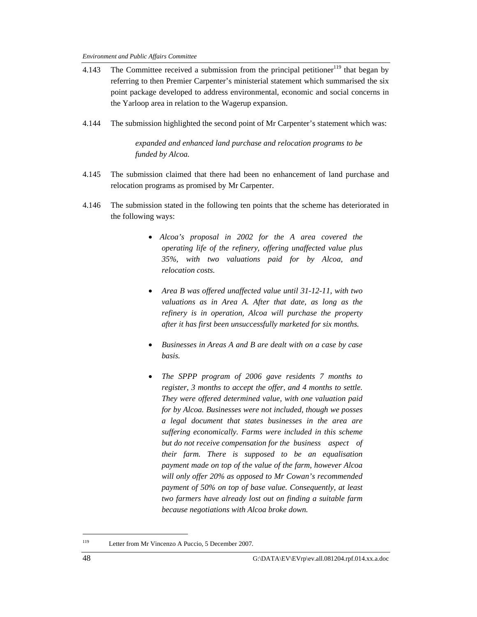- 4.143 The Committee received a submission from the principal petitioner<sup>119</sup> that began by referring to then Premier Carpenter's ministerial statement which summarised the six point package developed to address environmental, economic and social concerns in the Yarloop area in relation to the Wagerup expansion.
- 4.144 The submission highlighted the second point of Mr Carpenter's statement which was:

*expanded and enhanced land purchase and relocation programs to be funded by Alcoa.* 

- 4.145 The submission claimed that there had been no enhancement of land purchase and relocation programs as promised by Mr Carpenter.
- 4.146 The submission stated in the following ten points that the scheme has deteriorated in the following ways:
	- • *Alcoa's proposal in 2002 for the A area covered the operating life of the refinery, offering unaffected value plus 35%, with two valuations paid for by Alcoa, and relocation costs.*
	- *Area B was offered unaffected value until 31-12-11, with two valuations as in Area A. After that date, as long as the refinery is in operation, Alcoa will purchase the property after it has first been unsuccessfully marketed for six months.*
	- *Businesses in Areas A and B are dealt with on a case by case basis.*
	- *The SPPP program of 2006 gave residents 7 months to register, 3 months to accept the offer, and 4 months to settle. They were offered determined value, with one valuation paid for by Alcoa. Businesses were not included, though we posses a legal document that states businesses in the area are suffering economically. Farms were included in this scheme but do not receive compensation for the business aspect of their farm. There is supposed to be an equalisation payment made on top of the value of the farm, however Alcoa will only offer 20% as opposed to Mr Cowan's recommended payment of 50% on top of base value. Consequently, at least two farmers have already lost out on finding a suitable farm because negotiations with Alcoa broke down.*

<sup>119</sup> Letter from Mr Vincenzo A Puccio, 5 December 2007.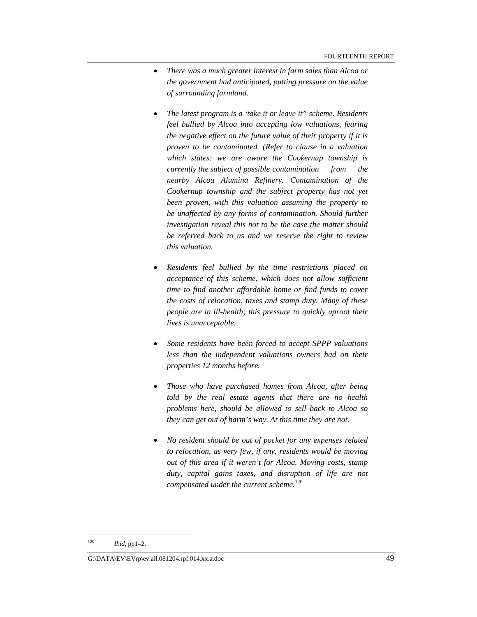- *There was a much greater interest in farm sales than Alcoa or the government had anticipated, putting pressure on the value of surrounding farmland.*
- *The latest program is a 'take it or leave it" scheme. Residents feel bullied by Alcoa into accepting low valuations, fearing the negative effect on the future value of their property if it is proven to be contaminated. (Refer to clause in a valuation which states: we are aware the Cookernup township is currently the subject of possible contamination from the nearby Alcoa Alumina Refinery. Contamination of the Cookernup township and the subject property has not yet been proven, with this valuation assuming the property to be unaffected by any forms of contamination. Should further investigation reveal this not to be the case the matter should be referred back to us and we reserve the right to review this valuation.*
- *Residents feel bullied by the time restrictions placed on acceptance of this scheme, which does not allow sufficient time to find another affordable home or find funds to cover the costs of relocation, taxes and stamp duty. Many of these people are in ill-health; this pressure to quickly uproot their lives is unacceptable.*
- *Some residents have been forced to accept SPPP valuations less than the independent valuations owners had on their properties 12 months before.*
- *Those who have purchased homes from Alcoa, after being told by the real estate agents that there are no health problems here, should be allowed to sell back to Alcoa so they can get out of harm's way. At this time they are not.*
- *No resident should be out of pocket for any expenses related to relocation, as very few, if any, residents would be moving out of this area if it weren't for Alcoa. Moving costs, stamp duty, capital gains taxes, and disruption of life are not compensated under the current scheme.*<sup>120</sup>

<sup>120</sup> *Ibid*, pp1–2.

G:\DATA\EV\EVrp\ev.all.081204.rpf.014.xx.a.doc 49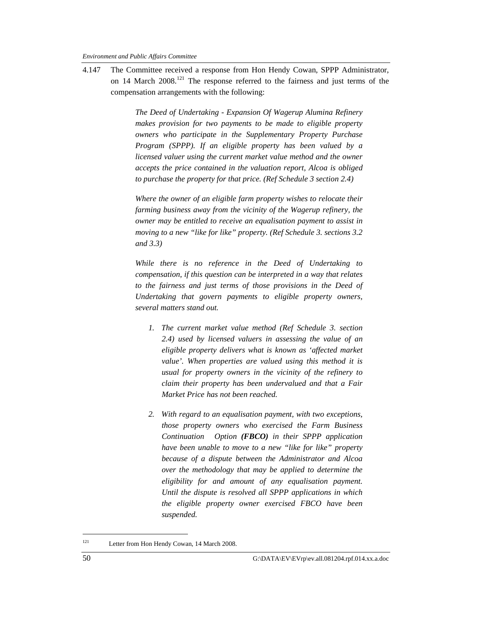4.147 The Committee received a response from Hon Hendy Cowan, SPPP Administrator, on 14 March  $2008$ <sup>121</sup>. The response referred to the fairness and just terms of the compensation arrangements with the following:

> *The Deed of Undertaking - Expansion Of Wagerup Alumina Refinery makes provision for two payments to be made to eligible property owners who participate in the Supplementary Property Purchase Program (SPPP). If an eligible property has been valued by a licensed valuer using the current market value method and the owner accepts the price contained in the valuation report, Alcoa is obliged to purchase the property for that price. (Ref Schedule 3 section 2.4)*

> *Where the owner of an eligible farm property wishes to relocate their farming business away from the vicinity of the Wagerup refinery, the owner may be entitled to receive an equalisation payment to assist in moving to a new "like for like" property. (Ref Schedule 3. sections 3.2 and 3.3)*

> *While there is no reference in the Deed of Undertaking to compensation, if this question can be interpreted in a way that relates to the fairness and just terms of those provisions in the Deed of Undertaking that govern payments to eligible property owners, several matters stand out.*

- *1. The current market value method (Ref Schedule 3. section 2.4) used by licensed valuers in assessing the value of an eligible property delivers what is known as 'affected market value'. When properties are valued using this method it is usual for property owners in the vicinity of the refinery to claim their property has been undervalued and that a Fair Market Price has not been reached.*
- *2. With regard to an equalisation payment, with two exceptions, those property owners who exercised the Farm Business Continuation Option (FBCO) in their SPPP application have been unable to move to a new "like for like" property because of a dispute between the Administrator and Alcoa over the methodology that may be applied to determine the eligibility for and amount of any equalisation payment. Until the dispute is resolved all SPPP applications in which the eligible property owner exercised FBCO have been suspended.*

<sup>&</sup>lt;sup>121</sup> Letter from Hon Hendy Cowan, 14 March 2008.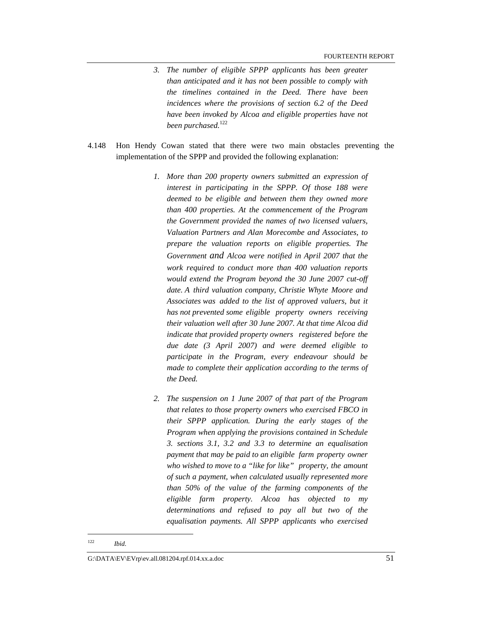- *3. The number of eligible SPPP applicants has been greater than anticipated and it has not been possible to comply with the timelines contained in the Deed. There have been incidences where the provisions of section 6.2 of the Deed have been invoked by Alcoa and eligible properties have not been purchased.*<sup>122</sup>
- 4.148 Hon Hendy Cowan stated that there were two main obstacles preventing the implementation of the SPPP and provided the following explanation:
	- *1. More than 200 property owners submitted an expression of interest in participating in the SPPP. Of those 188 were deemed to be eligible and between them they owned more than 400 properties. At the commencement of the Program the Government provided the names of two licensed valuers, Valuation Partners and Alan Morecombe and Associates, to prepare the valuation reports on eligible properties. The Government and Alcoa were notified in April 2007 that the work required to conduct more than 400 valuation reports would extend the Program beyond the 30 June 2007 cut-off date. A third valuation company, Christie Whyte Moore and Associates was added to the list of approved valuers, but it has not prevented some eligible property owners receiving their valuation well after 30 June 2007. At that time Alcoa did indicate that provided property owners registered before the due date (3 April 2007) and were deemed eligible to participate in the Program, every endeavour should be made to complete their application according to the terms of the Deed.*
	- *2. The suspension on 1 June 2007 of that part of the Program that relates to those property owners who exercised FBCO in their SPPP application. During the early stages of the Program when applying the provisions contained in Schedule 3. sections 3.1, 3.2 and 3.3 to determine an equalisation payment that may be paid to an eligible farm property owner who wished to move to a "like for like" property, the amount of such a payment, when calculated usually represented more than 50% of the value of the farming components of the eligible farm property. Alcoa has objected to my determinations and refused to pay all but two of the equalisation payments. All SPPP applicants who exercised*

<sup>122</sup> *Ibid*.

G:\DATA\EV\EVrp\ev.all.081204.rpf.014.xx.a.doc 51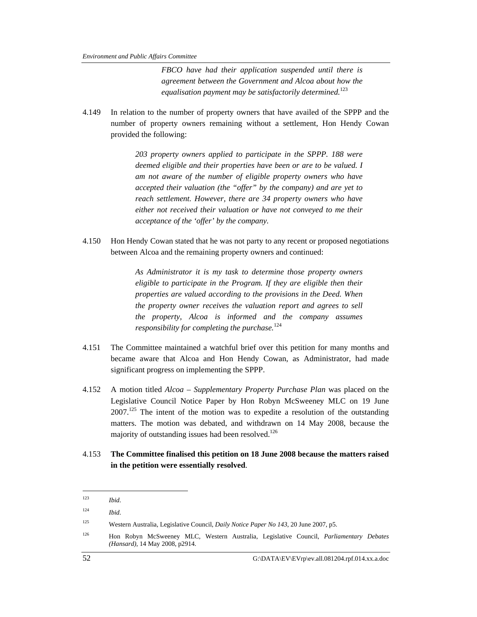*FBCO have had their application suspended until there is agreement between the Government and Alcoa about how the equalisation payment may be satisfactorily determined.*<sup>123</sup>

4.149 In relation to the number of property owners that have availed of the SPPP and the number of property owners remaining without a settlement, Hon Hendy Cowan provided the following:

> *203 property owners applied to participate in the SPPP. 188 were deemed eligible and their properties have been or are to be valued. I am not aware of the number of eligible property owners who have accepted their valuation (the "offer" by the company) and are yet to reach settlement. However, there are 34 property owners who have either not received their valuation or have not conveyed to me their acceptance of the 'offer' by the company.*

4.150 Hon Hendy Cowan stated that he was not party to any recent or proposed negotiations between Alcoa and the remaining property owners and continued:

> *As Administrator it is my task to determine those property owners eligible to participate in the Program. If they are eligible then their properties are valued according to the provisions in the Deed. When the property owner receives the valuation report and agrees to sell the property, Alcoa is informed and the company assumes responsibility for completing the purchase.*<sup>124</sup>

- 4.151 The Committee maintained a watchful brief over this petition for many months and became aware that Alcoa and Hon Hendy Cowan, as Administrator, had made significant progress on implementing the SPPP.
- 4.152 A motion titled *Alcoa Supplementary Property Purchase Plan* was placed on the Legislative Council Notice Paper by Hon Robyn McSweeney MLC on 19 June 2007.<sup>125</sup> The intent of the motion was to expedite a resolution of the outstanding matters. The motion was debated, and withdrawn on 14 May 2008, because the majority of outstanding issues had been resolved.<sup>126</sup>
- 4.153 **The Committee finalised this petition on 18 June 2008 because the matters raised in the petition were essentially resolved**.

<sup>123</sup> *Ibid*.

<sup>124</sup> *Ibid*.

<sup>125</sup> Western Australia, Legislative Council, *Daily Notice Paper No 143*, 20 June 2007, p5.

<sup>126</sup> Hon Robyn McSweeney MLC, Western Australia, Legislative Council, *Parliamentary Debates (Hansard),* 14 May 2008, p2914.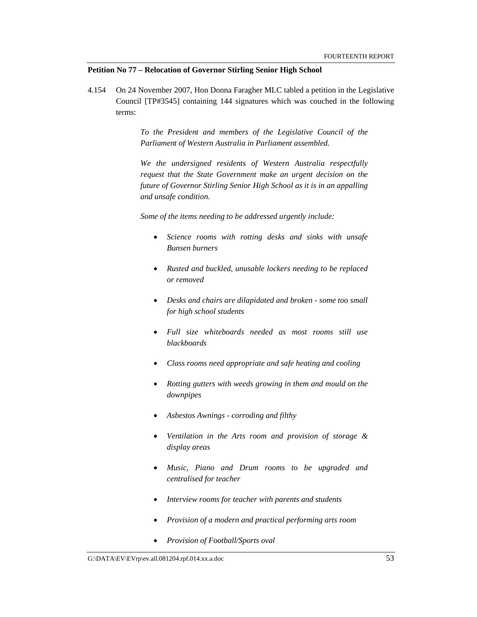## **Petition No 77 – Relocation of Governor Stirling Senior High School**

4.154 On 24 November 2007, Hon Donna Faragher MLC tabled a petition in the Legislative Council [TP#3545] containing 144 signatures which was couched in the following terms:

> *To the President and members of the Legislative Council of the Parliament of Western Australia in Parliament assembled.*

> *We the undersigned residents of Western Australia respectfully request that the State Government make an urgent decision on the future of Governor Stirling Senior High School as it is in an appalling and unsafe condition.*

*Some of the items needing to be addressed urgently include:* 

- *Science rooms with rotting desks and sinks with unsafe Bunsen burners*
- *Rusted and buckled, unusable lockers needing to be replaced or removed*
- *Desks and chairs are dilapidated and broken some too small for high school students*
- *Full size whiteboards needed as most rooms still use blackboards*
- *Class rooms need appropriate and safe heating and cooling*
- *Rotting gutters with weeds growing in them and mould on the downpipes*
- *Asbestos Awnings corroding and filthy*
- *Ventilation in the Arts room and provision of storage & display areas*
- *Music, Piano and Drum rooms to be upgraded and centralised for teacher*
- *Interview rooms for teacher with parents and students*
- *Provision of a modern and practical performing arts room*
- *Provision of Football/Sports oval*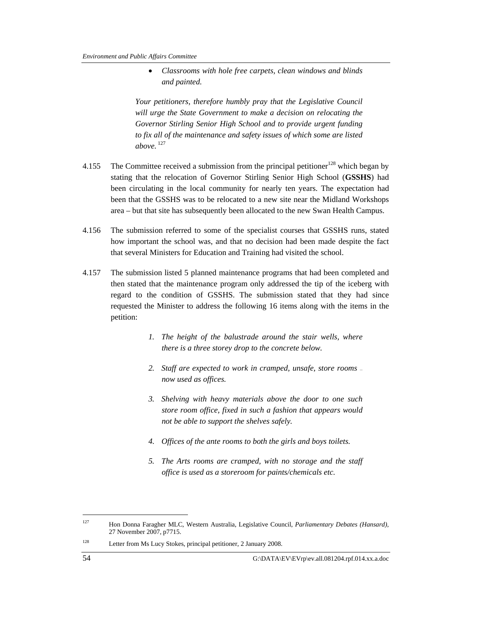• *Classrooms with hole free carpets, clean windows and blinds and painted.* 

*Your petitioners, therefore humbly pray that the Legislative Council will urge the State Government to make a decision on relocating the Governor Stirling Senior High School and to provide urgent funding to fix all of the maintenance and safety issues of which some are listed above.*<sup>127</sup>

- 4.155 The Committee received a submission from the principal petitioner<sup>128</sup> which began by stating that the relocation of Governor Stirling Senior High School (**GSSHS**) had been circulating in the local community for nearly ten years. The expectation had been that the GSSHS was to be relocated to a new site near the Midland Workshops area – but that site has subsequently been allocated to the new Swan Health Campus.
- 4.156 The submission referred to some of the specialist courses that GSSHS runs, stated how important the school was, and that no decision had been made despite the fact that several Ministers for Education and Training had visited the school.
- 4.157 The submission listed 5 planned maintenance programs that had been completed and then stated that the maintenance program only addressed the tip of the iceberg with regard to the condition of GSSHS. The submission stated that they had since requested the Minister to address the following 16 items along with the items in the petition:
	- *1. The height of the balustrade around the stair wells, where there is a three storey drop to the concrete below.*
	- *2. Staff are expected to work in cramped, unsafe, store rooms now used as offices.*
	- *3. Shelving with heavy materials above the door to one such store room office, fixed in such a fashion that appears would not be able to support the shelves safely.*
	- *4. Offices of the ante rooms to both the girls and boys toilets.*
	- *5. The Arts rooms are cramped, with no storage and the staff office is used as a storeroom for paints/chemicals etc.*

<sup>127</sup> Hon Donna Faragher MLC, Western Australia, Legislative Council, *Parliamentary Debates (Hansard),*  27 November 2007, p7715.

<sup>128</sup> Letter from Ms Lucy Stokes, principal petitioner, 2 January 2008.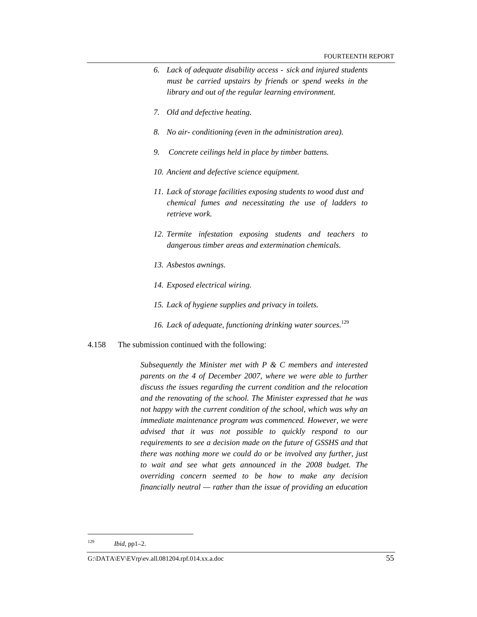- *6. Lack of adequate disability access sick and injured students must be carried upstairs by friends or spend weeks in the library and out of the regular learning environment.*
- *7. Old and defective heating.*
- *8. No air- conditioning (even in the administration area).*
- *9. Concrete ceilings held in place by timber battens.*
- *10. Ancient and defective science equipment.*
- *11. Lack of storage facilities exposing students to wood dust and chemical fumes and necessitating the use of ladders to retrieve work.*
- *12. Termite infestation exposing students and teachers to dangerous timber areas and extermination chemicals.*
- *13. Asbestos awnings.*
- *14. Exposed electrical wiring.*
- *15. Lack of hygiene supplies and privacy in toilets.*
- 16. Lack of adequate, functioning drinking water sources.<sup>129</sup>
- 4.158 The submission continued with the following:

*Subsequently the Minister met with P & C members and interested parents on the 4 of December 2007, where we were able to further discuss the issues regarding the current condition and the relocation and the renovating of the school. The Minister expressed that he was not happy with the current condition of the school, which was why an immediate maintenance program was commenced. However, we were advised that it was not possible to quickly respond to our requirements to see a decision made on the future of GSSHS and that there was nothing more we could do or be involved any further, just to wait and see what gets announced in the 2008 budget. The overriding concern seemed to be how to make any decision financially neutral — rather than the issue of providing an education* 

<sup>129</sup> *Ibid*, pp1–2.

G:\DATA\EV\EVrp\ev.all.081204.rpf.014.xx.a.doc 55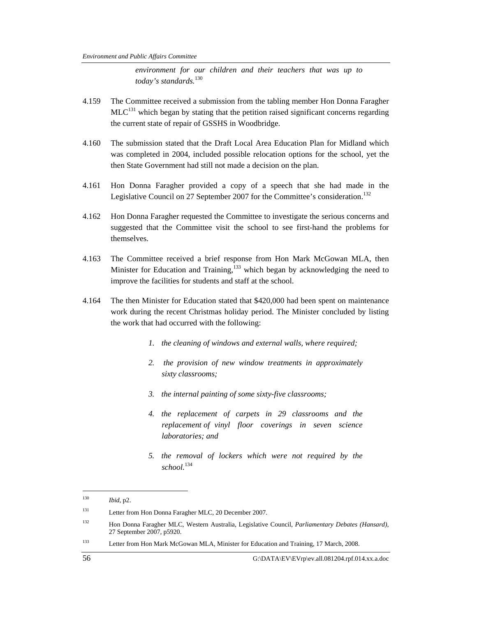*environment for our children and their teachers that was up to*  today's standards.<sup>130</sup>

- 4.159 The Committee received a submission from the tabling member Hon Donna Faragher  $MLC<sup>131</sup>$  which began by stating that the petition raised significant concerns regarding the current state of repair of GSSHS in Woodbridge.
- 4.160 The submission stated that the Draft Local Area Education Plan for Midland which was completed in 2004, included possible relocation options for the school, yet the then State Government had still not made a decision on the plan.
- 4.161 Hon Donna Faragher provided a copy of a speech that she had made in the Legislative Council on 27 September 2007 for the Committee's consideration.<sup>132</sup>
- 4.162 Hon Donna Faragher requested the Committee to investigate the serious concerns and suggested that the Committee visit the school to see first-hand the problems for themselves.
- 4.163 The Committee received a brief response from Hon Mark McGowan MLA, then Minister for Education and Training,  $133$  which began by acknowledging the need to improve the facilities for students and staff at the school.
- 4.164 The then Minister for Education stated that \$420,000 had been spent on maintenance work during the recent Christmas holiday period. The Minister concluded by listing the work that had occurred with the following:
	- *1. the cleaning of windows and external walls, where required;*
	- *2. the provision of new window treatments in approximately sixty classrooms;*
	- *3. the internal painting of some sixty-five classrooms;*
	- *4. the replacement of carpets in 29 classrooms and the replacement of vinyl floor coverings in seven science laboratories; and*
	- *5. the removal of lockers which were not required by the school.*<sup>134</sup>

<sup>130</sup> *Ibid*, p2.

<sup>131</sup> Letter from Hon Donna Faragher MLC, 20 December 2007.

<sup>132</sup> Hon Donna Faragher MLC, Western Australia, Legislative Council, *Parliamentary Debates (Hansard),*  27 September 2007, p5920.

<sup>133</sup> Letter from Hon Mark McGowan MLA, Minister for Education and Training, 17 March, 2008.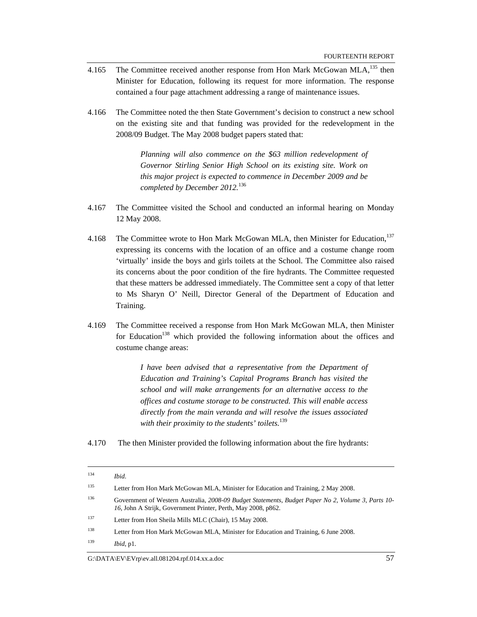- 4.165 The Committee received another response from Hon Mark McGowan MLA.<sup>135</sup> then Minister for Education, following its request for more information. The response contained a four page attachment addressing a range of maintenance issues.
- 4.166 The Committee noted the then State Government's decision to construct a new school on the existing site and that funding was provided for the redevelopment in the 2008/09 Budget. The May 2008 budget papers stated that:

*Planning will also commence on the \$63 million redevelopment of Governor Stirling Senior High School on its existing site. Work on this major project is expected to commence in December 2009 and be completed by December 2012.*<sup>136</sup>

- 4.167 The Committee visited the School and conducted an informal hearing on Monday 12 May 2008.
- 4.168 The Committee wrote to Hon Mark McGowan MLA, then Minister for Education,<sup>137</sup> expressing its concerns with the location of an office and a costume change room 'virtually' inside the boys and girls toilets at the School. The Committee also raised its concerns about the poor condition of the fire hydrants. The Committee requested that these matters be addressed immediately. The Committee sent a copy of that letter to Ms Sharyn O' Neill, Director General of the Department of Education and Training.
- 4.169 The Committee received a response from Hon Mark McGowan MLA, then Minister for Education<sup>138</sup> which provided the following information about the offices and costume change areas:

*I have been advised that a representative from the Department of Education and Training's Capital Programs Branch has visited the school and will make arrangements for an alternative access to the offices and costume storage to be constructed. This will enable access directly from the main veranda and will resolve the issues associated with their proximity to the students' toilets.*<sup>139</sup>

4.170 The then Minister provided the following information about the fire hydrants:

| 134 | Ibid.                                                                                                                                                               |
|-----|---------------------------------------------------------------------------------------------------------------------------------------------------------------------|
| 135 | Letter from Hon Mark McGowan MLA, Minister for Education and Training, 2 May 2008.                                                                                  |
| 136 | Government of Western Australia, 2008-09 Budget Statements, Budget Paper No 2, Volume 3, Parts 10-<br>16, John A Strijk, Government Printer, Perth, May 2008, p862. |
| 137 | Letter from Hon Sheila Mills MLC (Chair), 15 May 2008.                                                                                                              |
| 138 | Letter from Hon Mark McGowan MLA, Minister for Education and Training, 6 June 2008.                                                                                 |
| 139 | $Ibid$ , p1.                                                                                                                                                        |

G:\DATA\EV\EVrp\ev.all.081204.rpf.014.xx.a.doc 57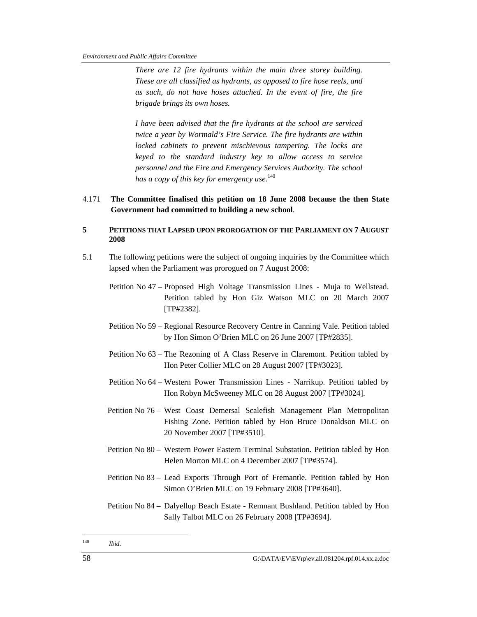*There are 12 fire hydrants within the main three storey building. These are all classified as hydrants, as opposed to fire hose reels, and as such, do not have hoses attached. In the event of fire, the fire brigade brings its own hoses.* 

*I have been advised that the fire hydrants at the school are serviced twice a year by Wormald's Fire Service. The fire hydrants are within locked cabinets to prevent mischievous tampering. The locks are keyed to the standard industry key to allow access to service personnel and the Fire and Emergency Services Authority. The school has a copy of this key for emergency use.*<sup>140</sup>

- 4.171 **The Committee finalised this petition on 18 June 2008 because the then State Government had committed to building a new school**.
- **5 PETITIONS THAT LAPSED UPON PROROGATION OF THE PARLIAMENT ON 7 AUGUST 2008**
- 5.1 The following petitions were the subject of ongoing inquiries by the Committee which lapsed when the Parliament was prorogued on 7 August 2008:
	- Petition No 47 Proposed High Voltage Transmission Lines Muja to Wellstead. Petition tabled by Hon Giz Watson MLC on 20 March 2007 [TP#2382].
	- Petition No 59 Regional Resource Recovery Centre in Canning Vale. Petition tabled by Hon Simon O'Brien MLC on 26 June 2007 [TP#2835].
	- Petition No 63 The Rezoning of A Class Reserve in Claremont. Petition tabled by Hon Peter Collier MLC on 28 August 2007 [TP#3023].
	- Petition No 64 Western Power Transmission Lines Narrikup. Petition tabled by Hon Robyn McSweeney MLC on 28 August 2007 [TP#3024].
	- Petition No 76 West Coast Demersal Scalefish Management Plan Metropolitan Fishing Zone. Petition tabled by Hon Bruce Donaldson MLC on 20 November 2007 [TP#3510].
	- Petition No 80 Western Power Eastern Terminal Substation. Petition tabled by Hon Helen Morton MLC on 4 December 2007 [TP#3574].
	- Petition No 83 Lead Exports Through Port of Fremantle. Petition tabled by Hon Simon O'Brien MLC on 19 February 2008 [TP#3640].
	- Petition No 84 Dalyellup Beach Estate Remnant Bushland. Petition tabled by Hon Sally Talbot MLC on 26 February 2008 [TP#3694].